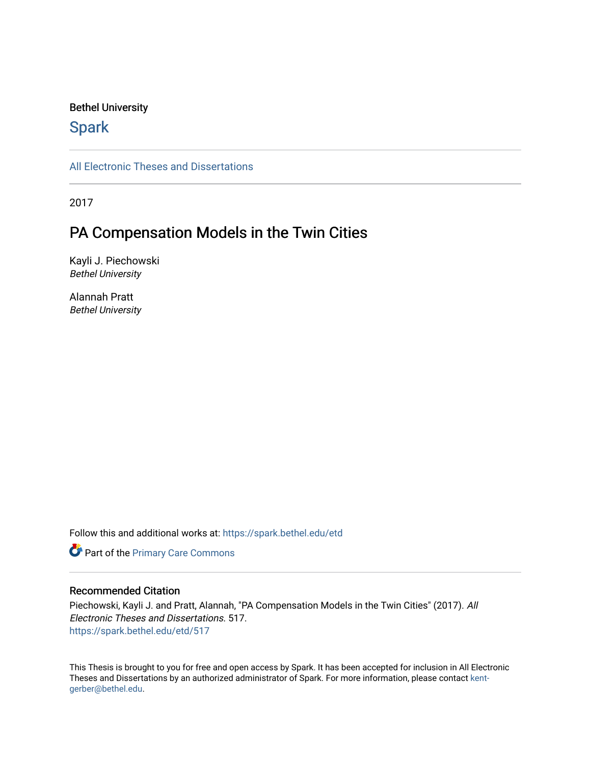## Bethel University

# **Spark**

[All Electronic Theses and Dissertations](https://spark.bethel.edu/etd) 

2017

# PA Compensation Models in the Twin Cities

Kayli J. Piechowski Bethel University

Alannah Pratt Bethel University

Follow this and additional works at: [https://spark.bethel.edu/etd](https://spark.bethel.edu/etd?utm_source=spark.bethel.edu%2Fetd%2F517&utm_medium=PDF&utm_campaign=PDFCoverPages)

**Part of the [Primary Care Commons](http://network.bepress.com/hgg/discipline/1092?utm_source=spark.bethel.edu%2Fetd%2F517&utm_medium=PDF&utm_campaign=PDFCoverPages)** 

## Recommended Citation

Piechowski, Kayli J. and Pratt, Alannah, "PA Compensation Models in the Twin Cities" (2017). All Electronic Theses and Dissertations. 517. [https://spark.bethel.edu/etd/517](https://spark.bethel.edu/etd/517?utm_source=spark.bethel.edu%2Fetd%2F517&utm_medium=PDF&utm_campaign=PDFCoverPages)

This Thesis is brought to you for free and open access by Spark. It has been accepted for inclusion in All Electronic Theses and Dissertations by an authorized administrator of Spark. For more information, please contact [kent](mailto:kent-gerber@bethel.edu)[gerber@bethel.edu.](mailto:kent-gerber@bethel.edu)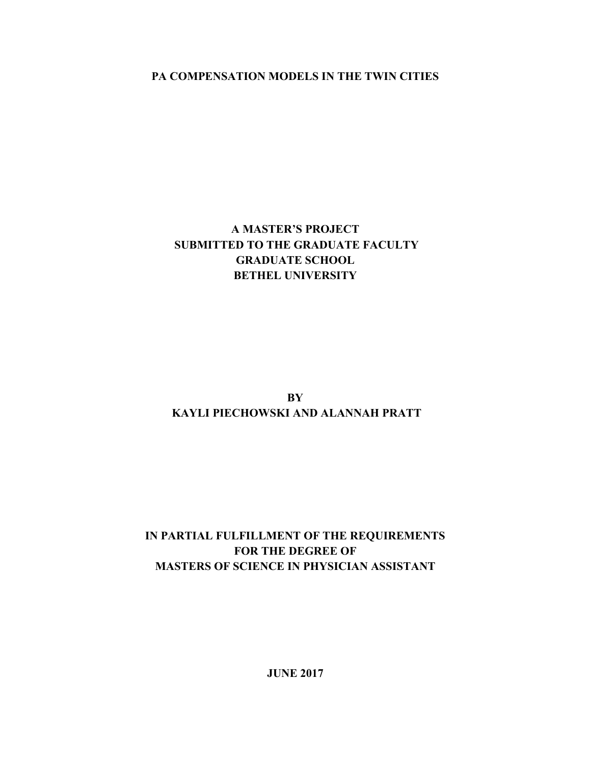**PA COMPENSATION MODELS IN THE TWIN CITIES** 

# **A MASTER'S PROJECT SUBMITTED TO THE GRADUATE FACULTY GRADUATE SCHOOL BETHEL UNIVERSITY**

**BY KAYLI PIECHOWSKI AND ALANNAH PRATT** 

# **IN PARTIAL FULFILLMENT OF THE REQUIREMENTS FOR THE DEGREE OF MASTERS OF SCIENCE IN PHYSICIAN ASSISTANT**

**JUNE 2017**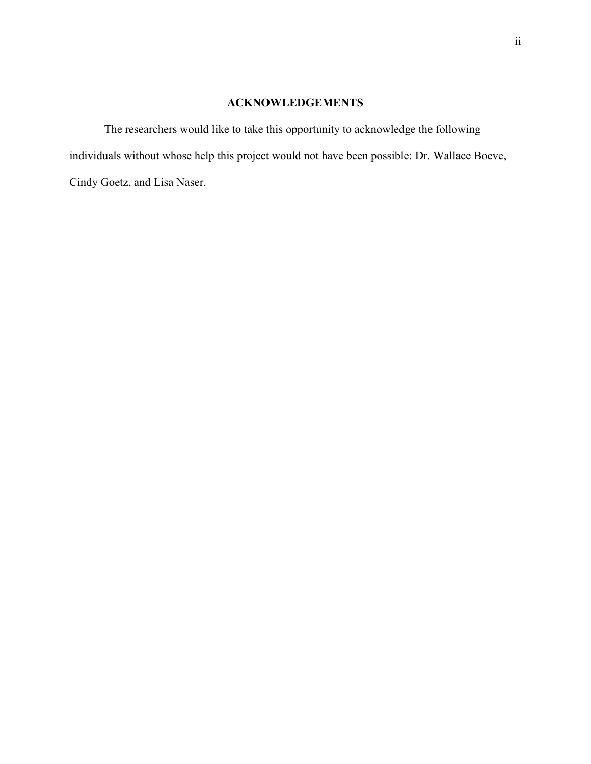# **ACKNOWLEDGEMENTS**

The researchers would like to take this opportunity to acknowledge the following individuals without whose help this project would not have been possible: Dr. Wallace Boeve, Cindy Goetz, and Lisa Naser.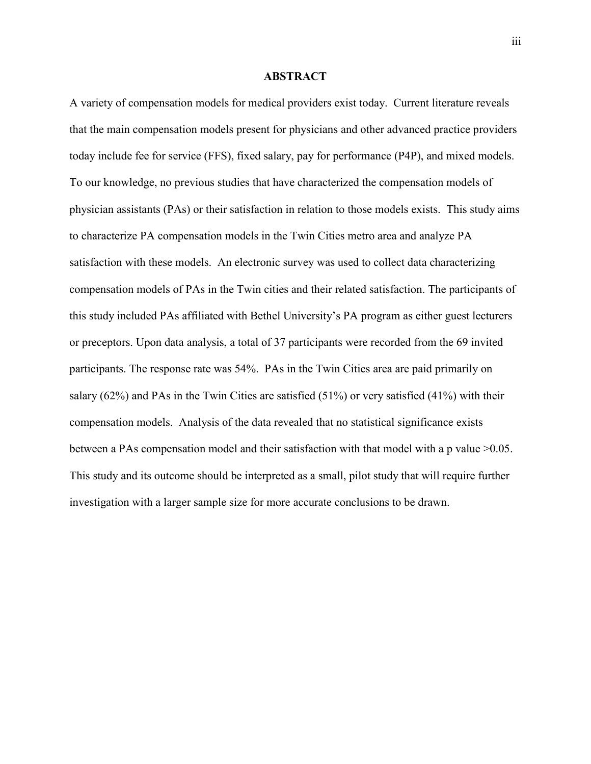#### **ABSTRACT**

A variety of compensation models for medical providers exist today. Current literature reveals that the main compensation models present for physicians and other advanced practice providers today include fee for service (FFS), fixed salary, pay for performance (P4P), and mixed models. To our knowledge, no previous studies that have characterized the compensation models of physician assistants (PAs) or their satisfaction in relation to those models exists. This study aims to characterize PA compensation models in the Twin Cities metro area and analyze PA satisfaction with these models. An electronic survey was used to collect data characterizing compensation models of PAs in the Twin cities and their related satisfaction. The participants of this study included PAs affiliated with Bethel University's PA program as either guest lecturers or preceptors. Upon data analysis, a total of 37 participants were recorded from the 69 invited participants. The response rate was 54%. PAs in the Twin Cities area are paid primarily on salary (62%) and PAs in the Twin Cities are satisfied (51%) or very satisfied (41%) with their compensation models. Analysis of the data revealed that no statistical significance exists between a PAs compensation model and their satisfaction with that model with a p value >0.05. This study and its outcome should be interpreted as a small, pilot study that will require further investigation with a larger sample size for more accurate conclusions to be drawn.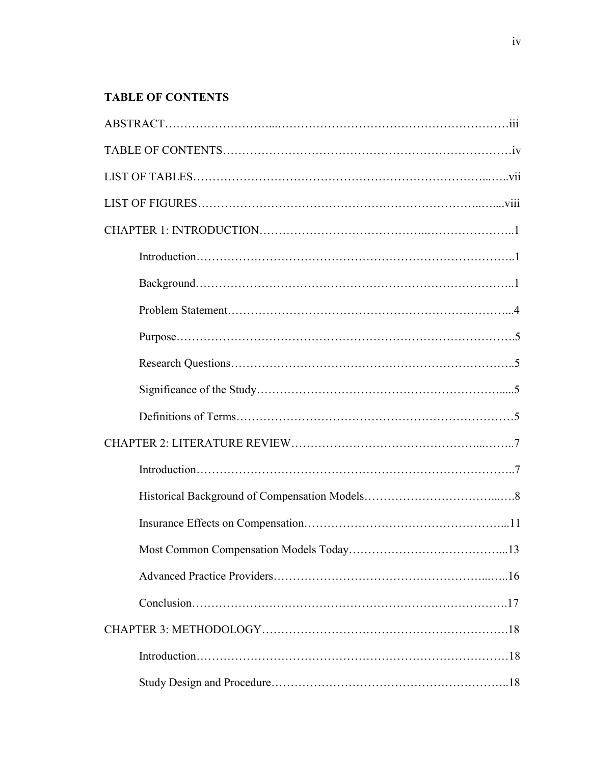# **TABLE OF CONTENTS**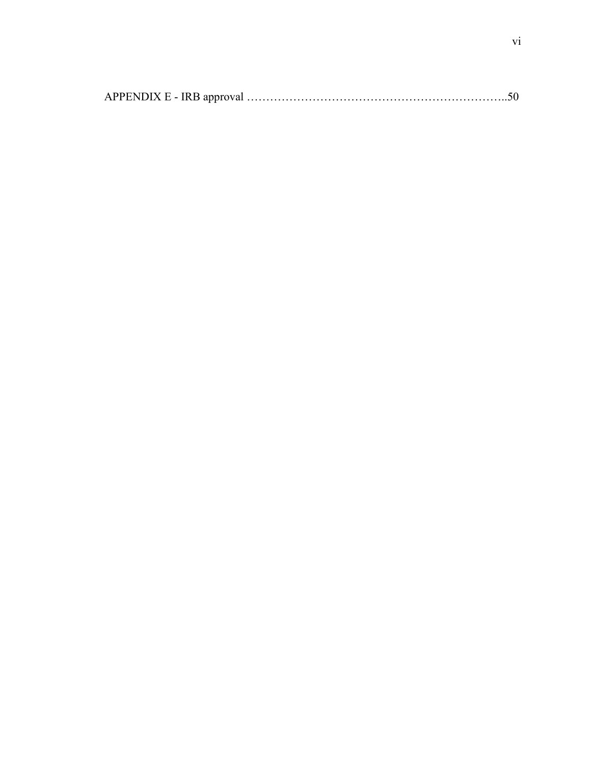|--|--|--|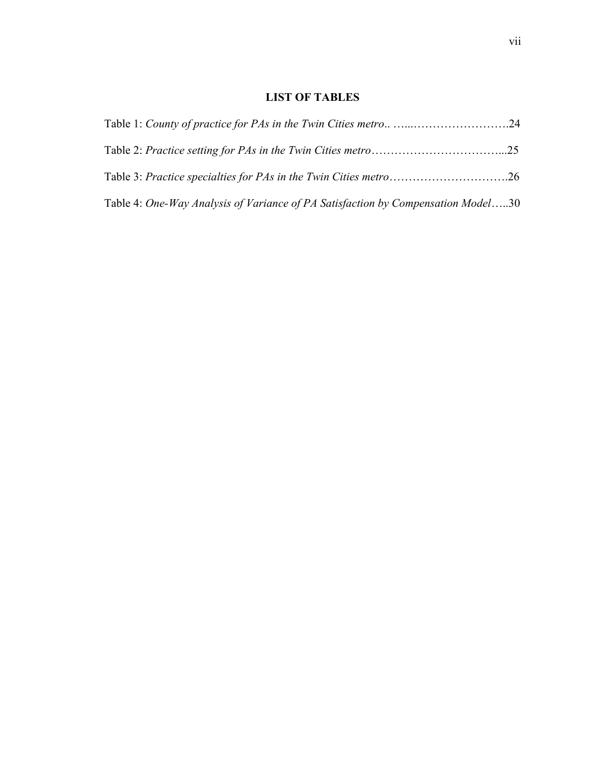# **LIST OF TABLES**

| Table 4: One-Way Analysis of Variance of PA Satisfaction by Compensation Model30 |  |
|----------------------------------------------------------------------------------|--|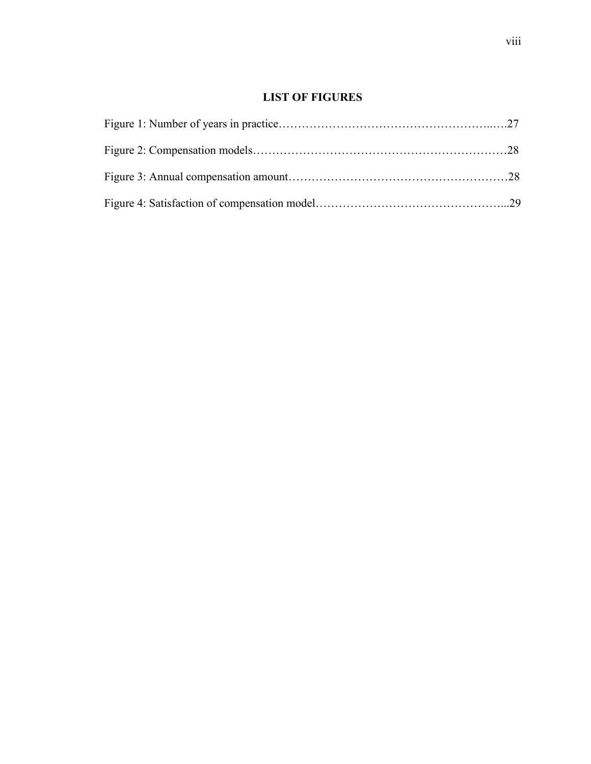# **LIST OF FIGURES**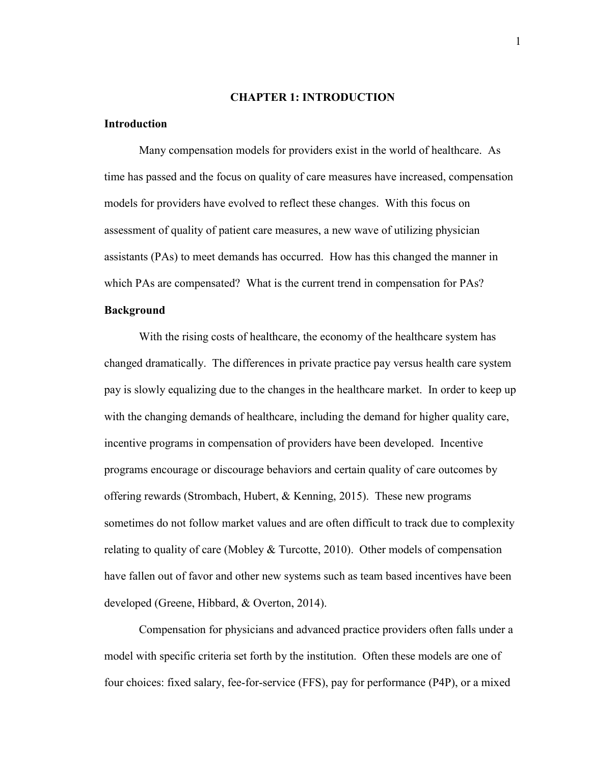#### **CHAPTER 1: INTRODUCTION**

## **Introduction**

Many compensation models for providers exist in the world of healthcare. As time has passed and the focus on quality of care measures have increased, compensation models for providers have evolved to reflect these changes. With this focus on assessment of quality of patient care measures, a new wave of utilizing physician assistants (PAs) to meet demands has occurred. How has this changed the manner in which PAs are compensated? What is the current trend in compensation for PAs?

#### **Background**

 With the rising costs of healthcare, the economy of the healthcare system has changed dramatically. The differences in private practice pay versus health care system pay is slowly equalizing due to the changes in the healthcare market. In order to keep up with the changing demands of healthcare, including the demand for higher quality care, incentive programs in compensation of providers have been developed. Incentive programs encourage or discourage behaviors and certain quality of care outcomes by offering rewards (Strombach, Hubert,  $\&$  Kenning, 2015). These new programs sometimes do not follow market values and are often difficult to track due to complexity relating to quality of care (Mobley  $& \& \text{Turootte}, 2010$ ). Other models of compensation have fallen out of favor and other new systems such as team based incentives have been developed (Greene, Hibbard, & Overton, 2014).

Compensation for physicians and advanced practice providers often falls under a model with specific criteria set forth by the institution. Often these models are one of four choices: fixed salary, fee-for-service (FFS), pay for performance (P4P), or a mixed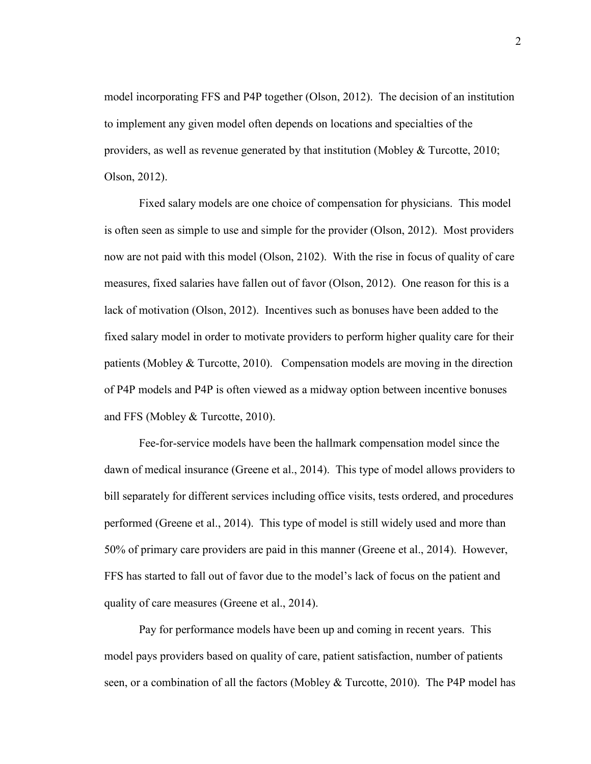model incorporating FFS and P4P together (Olson, 2012). The decision of an institution to implement any given model often depends on locations and specialties of the providers, as well as revenue generated by that institution (Mobley & Turcotte, 2010; Olson, 2012).

Fixed salary models are one choice of compensation for physicians. This model is often seen as simple to use and simple for the provider (Olson, 2012). Most providers now are not paid with this model (Olson, 2102). With the rise in focus of quality of care measures, fixed salaries have fallen out of favor (Olson, 2012). One reason for this is a lack of motivation (Olson, 2012). Incentives such as bonuses have been added to the fixed salary model in order to motivate providers to perform higher quality care for their patients (Mobley  $& \text{Turcotte}, 2010$ ). Compensation models are moving in the direction of P4P models and P4P is often viewed as a midway option between incentive bonuses and FFS (Mobley & Turcotte, 2010).

 Fee-for-service models have been the hallmark compensation model since the dawn of medical insurance (Greene et al., 2014). This type of model allows providers to bill separately for different services including office visits, tests ordered, and procedures performed (Greene et al., 2014). This type of model is still widely used and more than 50% of primary care providers are paid in this manner (Greene et al., 2014). However, FFS has started to fall out of favor due to the model's lack of focus on the patient and quality of care measures (Greene et al., 2014).

 Pay for performance models have been up and coming in recent years. This model pays providers based on quality of care, patient satisfaction, number of patients seen, or a combination of all the factors (Mobley & Turcotte, 2010). The P4P model has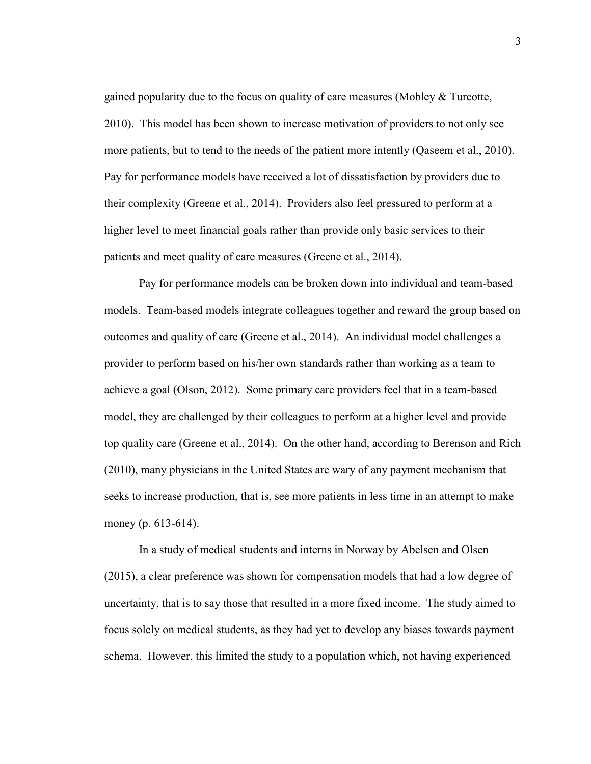gained popularity due to the focus on quality of care measures (Mobley & Turcotte, 2010). This model has been shown to increase motivation of providers to not only see more patients, but to tend to the needs of the patient more intently (Qaseem et al., 2010). Pay for performance models have received a lot of dissatisfaction by providers due to their complexity (Greene et al., 2014). Providers also feel pressured to perform at a higher level to meet financial goals rather than provide only basic services to their patients and meet quality of care measures (Greene et al., 2014).

 Pay for performance models can be broken down into individual and team-based models. Team-based models integrate colleagues together and reward the group based on outcomes and quality of care (Greene et al., 2014). An individual model challenges a provider to perform based on his/her own standards rather than working as a team to achieve a goal (Olson, 2012). Some primary care providers feel that in a team-based model, they are challenged by their colleagues to perform at a higher level and provide top quality care (Greene et al., 2014). On the other hand, according to Berenson and Rich (2010), many physicians in the United States are wary of any payment mechanism that seeks to increase production, that is, see more patients in less time in an attempt to make money (p. 613-614).

In a study of medical students and interns in Norway by Abelsen and Olsen (2015), a clear preference was shown for compensation models that had a low degree of uncertainty, that is to say those that resulted in a more fixed income. The study aimed to focus solely on medical students, as they had yet to develop any biases towards payment schema. However, this limited the study to a population which, not having experienced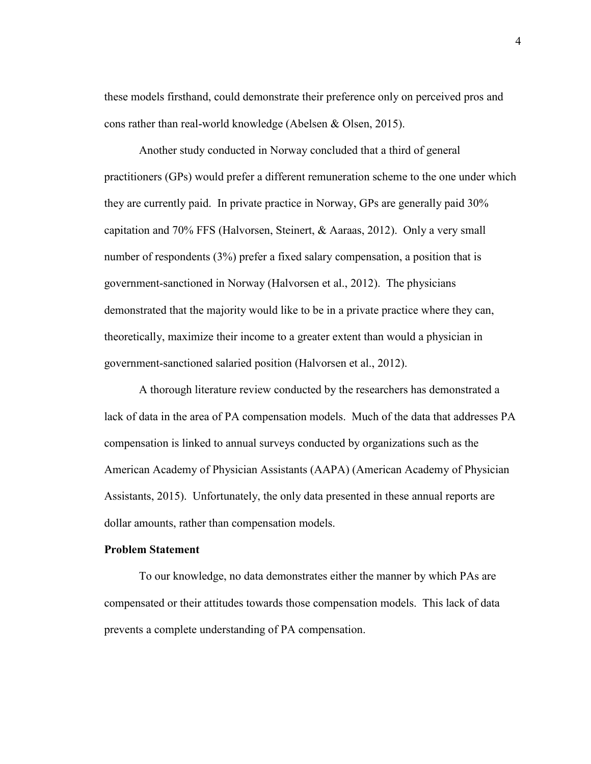these models firsthand, could demonstrate their preference only on perceived pros and cons rather than real-world knowledge (Abelsen & Olsen, 2015).

Another study conducted in Norway concluded that a third of general practitioners (GPs) would prefer a different remuneration scheme to the one under which they are currently paid. In private practice in Norway, GPs are generally paid 30% capitation and 70% FFS (Halvorsen, Steinert, & Aaraas, 2012). Only a very small number of respondents (3%) prefer a fixed salary compensation, a position that is government-sanctioned in Norway (Halvorsen et al., 2012). The physicians demonstrated that the majority would like to be in a private practice where they can, theoretically, maximize their income to a greater extent than would a physician in government-sanctioned salaried position (Halvorsen et al., 2012).

A thorough literature review conducted by the researchers has demonstrated a lack of data in the area of PA compensation models. Much of the data that addresses PA compensation is linked to annual surveys conducted by organizations such as the American Academy of Physician Assistants (AAPA) (American Academy of Physician Assistants, 2015). Unfortunately, the only data presented in these annual reports are dollar amounts, rather than compensation models.

#### **Problem Statement**

To our knowledge, no data demonstrates either the manner by which PAs are compensated or their attitudes towards those compensation models. This lack of data prevents a complete understanding of PA compensation.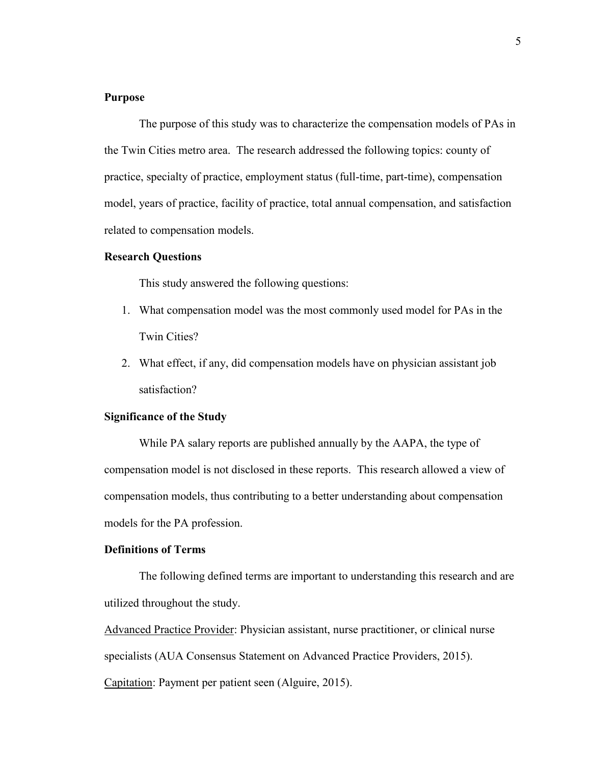#### **Purpose**

The purpose of this study was to characterize the compensation models of PAs in the Twin Cities metro area. The research addressed the following topics: county of practice, specialty of practice, employment status (full-time, part-time), compensation model, years of practice, facility of practice, total annual compensation, and satisfaction related to compensation models.

#### **Research Questions**

This study answered the following questions:

- 1. What compensation model was the most commonly used model for PAs in the Twin Cities?
- 2. What effect, if any, did compensation models have on physician assistant job satisfaction?

## **Significance of the Study**

While PA salary reports are published annually by the AAPA, the type of compensation model is not disclosed in these reports. This research allowed a view of compensation models, thus contributing to a better understanding about compensation models for the PA profession.

#### **Definitions of Terms**

 The following defined terms are important to understanding this research and are utilized throughout the study.

Advanced Practice Provider: Physician assistant, nurse practitioner, or clinical nurse specialists (AUA Consensus Statement on Advanced Practice Providers, 2015).

Capitation: Payment per patient seen (Alguire, 2015).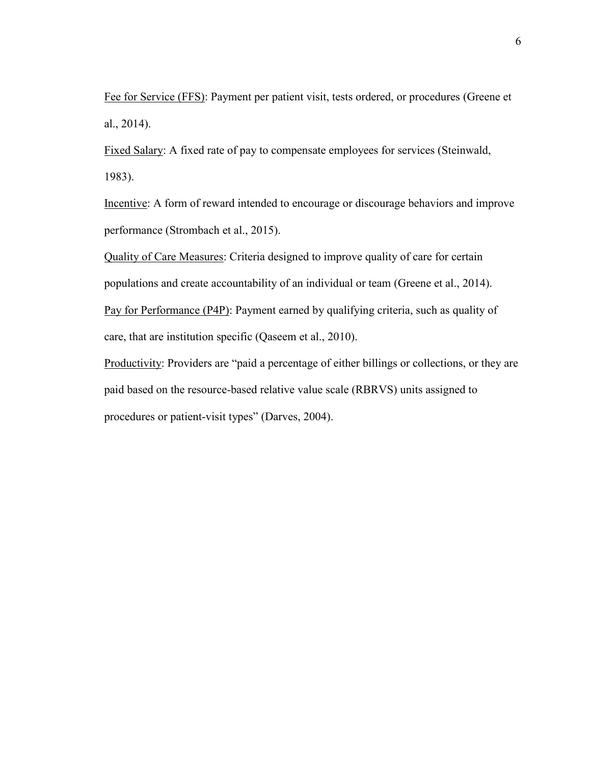Fee for Service (FFS): Payment per patient visit, tests ordered, or procedures (Greene et al., 2014).

Fixed Salary: A fixed rate of pay to compensate employees for services (Steinwald, 1983).

Incentive: A form of reward intended to encourage or discourage behaviors and improve performance (Strombach et al., 2015).

Quality of Care Measures: Criteria designed to improve quality of care for certain populations and create accountability of an individual or team (Greene et al., 2014). Pay for Performance (P4P): Payment earned by qualifying criteria, such as quality of care, that are institution specific (Qaseem et al., 2010).

Productivity: Providers are "paid a percentage of either billings or collections, or they are paid based on the resource-based relative value scale (RBRVS) units assigned to procedures or patient-visit types" (Darves, 2004).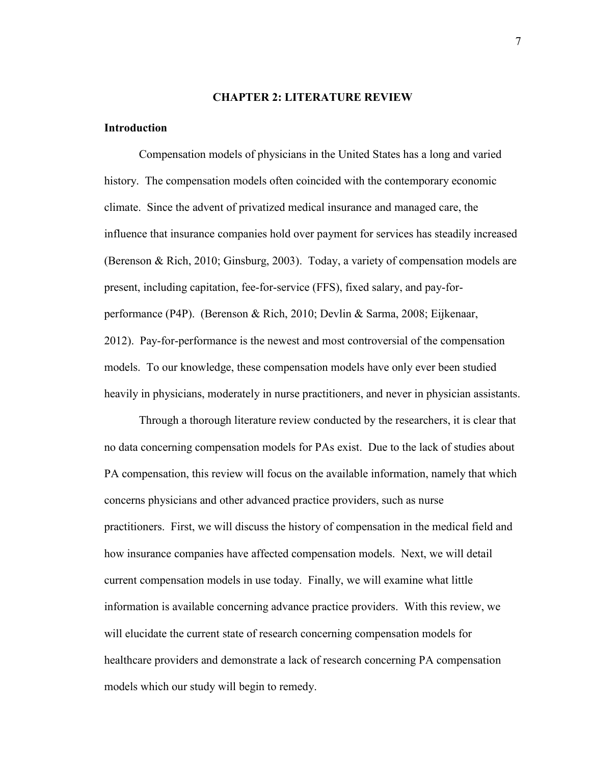#### **CHAPTER 2: LITERATURE REVIEW**

#### **Introduction**

Compensation models of physicians in the United States has a long and varied history. The compensation models often coincided with the contemporary economic climate. Since the advent of privatized medical insurance and managed care, the influence that insurance companies hold over payment for services has steadily increased (Berenson & Rich, 2010; Ginsburg, 2003). Today, a variety of compensation models are present, including capitation, fee-for-service (FFS), fixed salary, and pay-forperformance (P4P). (Berenson & Rich, 2010; Devlin & Sarma, 2008; Eijkenaar, 2012). Pay-for-performance is the newest and most controversial of the compensation models. To our knowledge, these compensation models have only ever been studied heavily in physicians, moderately in nurse practitioners, and never in physician assistants.

Through a thorough literature review conducted by the researchers, it is clear that no data concerning compensation models for PAs exist. Due to the lack of studies about PA compensation, this review will focus on the available information, namely that which concerns physicians and other advanced practice providers, such as nurse practitioners. First, we will discuss the history of compensation in the medical field and how insurance companies have affected compensation models. Next, we will detail current compensation models in use today. Finally, we will examine what little information is available concerning advance practice providers. With this review, we will elucidate the current state of research concerning compensation models for healthcare providers and demonstrate a lack of research concerning PA compensation models which our study will begin to remedy.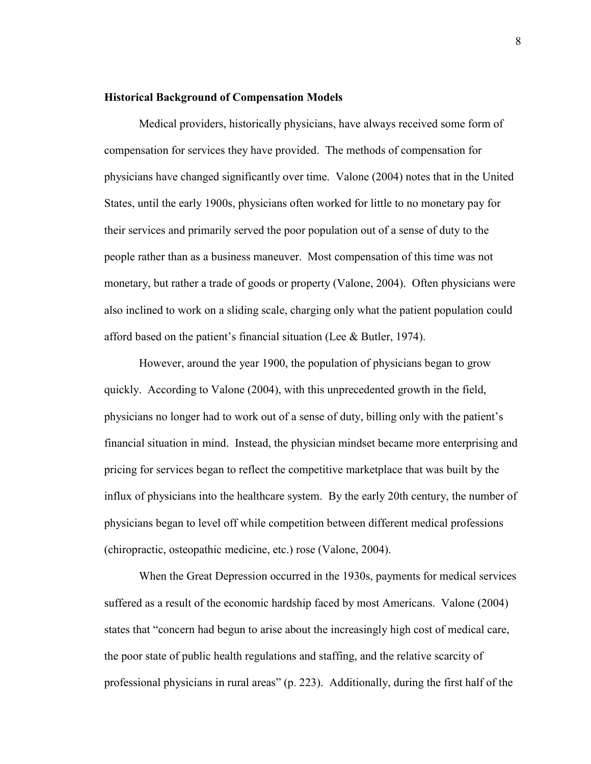#### **Historical Background of Compensation Models**

Medical providers, historically physicians, have always received some form of compensation for services they have provided. The methods of compensation for physicians have changed significantly over time. Valone (2004) notes that in the United States, until the early 1900s, physicians often worked for little to no monetary pay for their services and primarily served the poor population out of a sense of duty to the people rather than as a business maneuver. Most compensation of this time was not monetary, but rather a trade of goods or property (Valone, 2004). Often physicians were also inclined to work on a sliding scale, charging only what the patient population could afford based on the patient's financial situation (Lee & Butler, 1974).

However, around the year 1900, the population of physicians began to grow quickly. According to Valone (2004), with this unprecedented growth in the field, physicians no longer had to work out of a sense of duty, billing only with the patient's financial situation in mind. Instead, the physician mindset became more enterprising and pricing for services began to reflect the competitive marketplace that was built by the influx of physicians into the healthcare system. By the early 20th century, the number of physicians began to level off while competition between different medical professions (chiropractic, osteopathic medicine, etc.) rose (Valone, 2004).

When the Great Depression occurred in the 1930s, payments for medical services suffered as a result of the economic hardship faced by most Americans. Valone (2004) states that "concern had begun to arise about the increasingly high cost of medical care, the poor state of public health regulations and staffing, and the relative scarcity of professional physicians in rural areas" (p. 223). Additionally, during the first half of the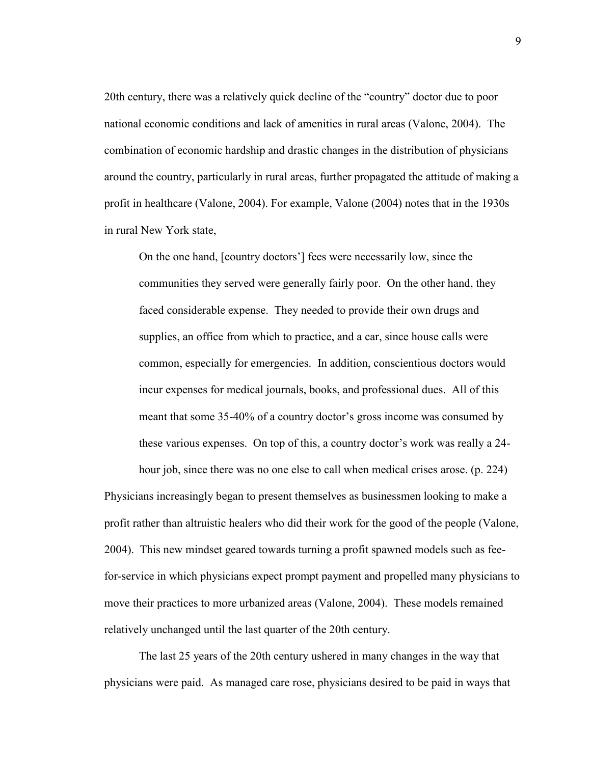20th century, there was a relatively quick decline of the "country" doctor due to poor national economic conditions and lack of amenities in rural areas (Valone, 2004). The combination of economic hardship and drastic changes in the distribution of physicians around the country, particularly in rural areas, further propagated the attitude of making a profit in healthcare (Valone, 2004). For example, Valone (2004) notes that in the 1930s in rural New York state,

On the one hand, [country doctors'] fees were necessarily low, since the communities they served were generally fairly poor. On the other hand, they faced considerable expense. They needed to provide their own drugs and supplies, an office from which to practice, and a car, since house calls were common, especially for emergencies. In addition, conscientious doctors would incur expenses for medical journals, books, and professional dues. All of this meant that some 35-40% of a country doctor's gross income was consumed by these various expenses. On top of this, a country doctor's work was really a 24-

hour job, since there was no one else to call when medical crises arose. (p. 224)

Physicians increasingly began to present themselves as businessmen looking to make a profit rather than altruistic healers who did their work for the good of the people (Valone, 2004). This new mindset geared towards turning a profit spawned models such as feefor-service in which physicians expect prompt payment and propelled many physicians to move their practices to more urbanized areas (Valone, 2004). These models remained relatively unchanged until the last quarter of the 20th century.

The last 25 years of the 20th century ushered in many changes in the way that physicians were paid. As managed care rose, physicians desired to be paid in ways that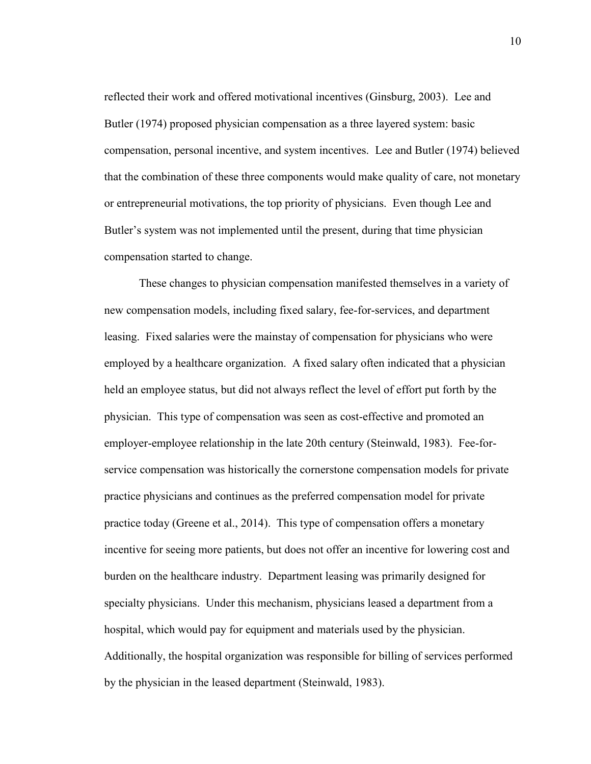reflected their work and offered motivational incentives (Ginsburg, 2003). Lee and Butler (1974) proposed physician compensation as a three layered system: basic compensation, personal incentive, and system incentives. Lee and Butler (1974) believed that the combination of these three components would make quality of care, not monetary or entrepreneurial motivations, the top priority of physicians. Even though Lee and Butler's system was not implemented until the present, during that time physician compensation started to change.

These changes to physician compensation manifested themselves in a variety of new compensation models, including fixed salary, fee-for-services, and department leasing. Fixed salaries were the mainstay of compensation for physicians who were employed by a healthcare organization. A fixed salary often indicated that a physician held an employee status, but did not always reflect the level of effort put forth by the physician. This type of compensation was seen as cost-effective and promoted an employer-employee relationship in the late 20th century (Steinwald, 1983). Fee-forservice compensation was historically the cornerstone compensation models for private practice physicians and continues as the preferred compensation model for private practice today (Greene et al., 2014). This type of compensation offers a monetary incentive for seeing more patients, but does not offer an incentive for lowering cost and burden on the healthcare industry. Department leasing was primarily designed for specialty physicians. Under this mechanism, physicians leased a department from a hospital, which would pay for equipment and materials used by the physician. Additionally, the hospital organization was responsible for billing of services performed by the physician in the leased department (Steinwald, 1983).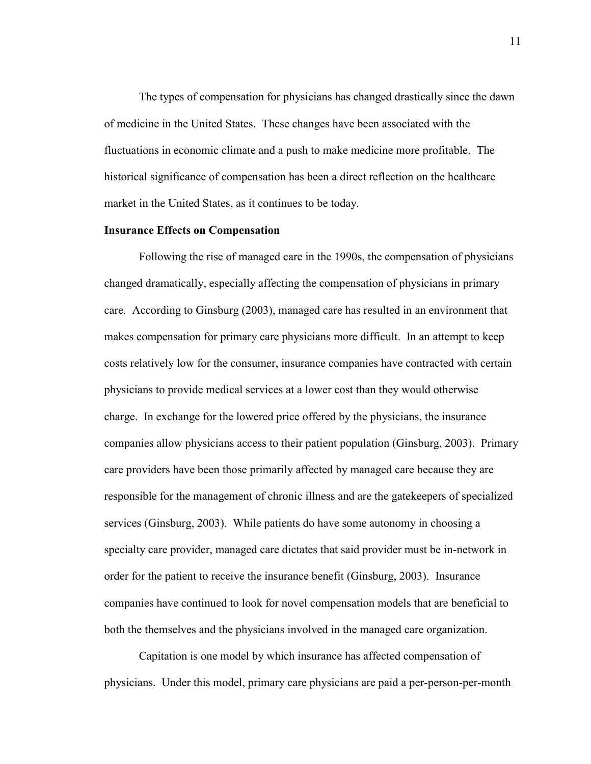The types of compensation for physicians has changed drastically since the dawn of medicine in the United States. These changes have been associated with the fluctuations in economic climate and a push to make medicine more profitable. The historical significance of compensation has been a direct reflection on the healthcare market in the United States, as it continues to be today.

#### **Insurance Effects on Compensation**

Following the rise of managed care in the 1990s, the compensation of physicians changed dramatically, especially affecting the compensation of physicians in primary care. According to Ginsburg (2003), managed care has resulted in an environment that makes compensation for primary care physicians more difficult. In an attempt to keep costs relatively low for the consumer, insurance companies have contracted with certain physicians to provide medical services at a lower cost than they would otherwise charge. In exchange for the lowered price offered by the physicians, the insurance companies allow physicians access to their patient population (Ginsburg, 2003). Primary care providers have been those primarily affected by managed care because they are responsible for the management of chronic illness and are the gatekeepers of specialized services (Ginsburg, 2003). While patients do have some autonomy in choosing a specialty care provider, managed care dictates that said provider must be in-network in order for the patient to receive the insurance benefit (Ginsburg, 2003). Insurance companies have continued to look for novel compensation models that are beneficial to both the themselves and the physicians involved in the managed care organization.

Capitation is one model by which insurance has affected compensation of physicians. Under this model, primary care physicians are paid a per-person-per-month

11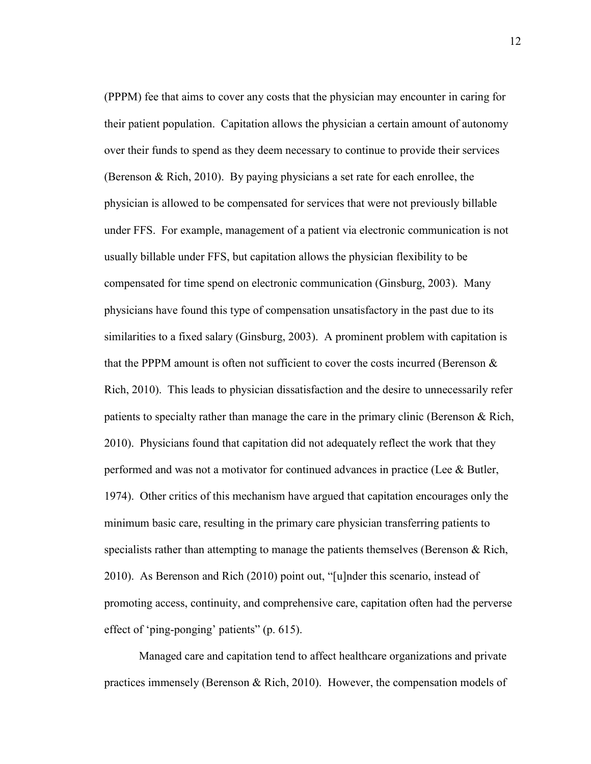(PPPM) fee that aims to cover any costs that the physician may encounter in caring for their patient population. Capitation allows the physician a certain amount of autonomy over their funds to spend as they deem necessary to continue to provide their services (Berenson & Rich, 2010). By paying physicians a set rate for each enrollee, the physician is allowed to be compensated for services that were not previously billable under FFS. For example, management of a patient via electronic communication is not usually billable under FFS, but capitation allows the physician flexibility to be compensated for time spend on electronic communication (Ginsburg, 2003). Many physicians have found this type of compensation unsatisfactory in the past due to its similarities to a fixed salary (Ginsburg, 2003). A prominent problem with capitation is that the PPPM amount is often not sufficient to cover the costs incurred (Berenson  $\&$ Rich, 2010). This leads to physician dissatisfaction and the desire to unnecessarily refer patients to specialty rather than manage the care in the primary clinic (Berenson & Rich, 2010). Physicians found that capitation did not adequately reflect the work that they performed and was not a motivator for continued advances in practice (Lee & Butler, 1974). Other critics of this mechanism have argued that capitation encourages only the minimum basic care, resulting in the primary care physician transferring patients to specialists rather than attempting to manage the patients themselves (Berenson & Rich, 2010). As Berenson and Rich (2010) point out, "[u]nder this scenario, instead of promoting access, continuity, and comprehensive care, capitation often had the perverse effect of 'ping-ponging' patients" (p. 615).

Managed care and capitation tend to affect healthcare organizations and private practices immensely (Berenson & Rich, 2010). However, the compensation models of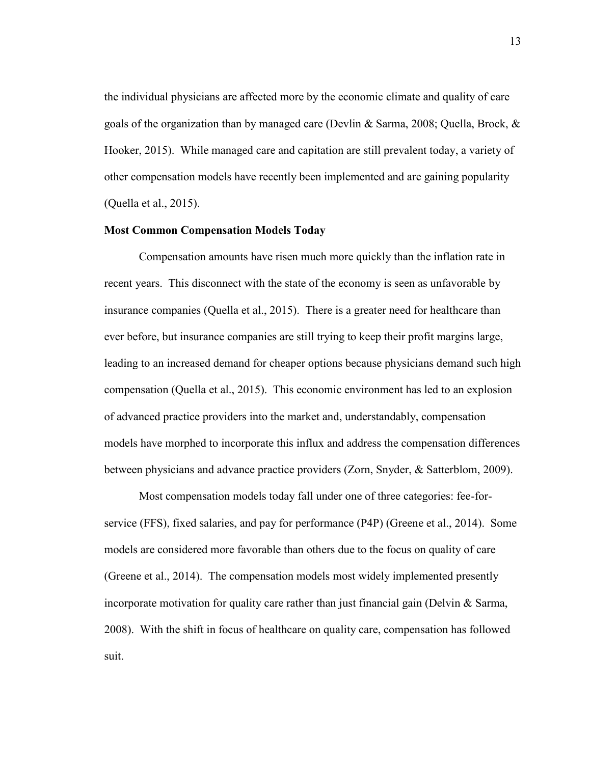the individual physicians are affected more by the economic climate and quality of care goals of the organization than by managed care (Devlin & Sarma, 2008; Quella, Brock,  $\&$ Hooker, 2015). While managed care and capitation are still prevalent today, a variety of other compensation models have recently been implemented and are gaining popularity (Quella et al., 2015).

#### **Most Common Compensation Models Today**

Compensation amounts have risen much more quickly than the inflation rate in recent years. This disconnect with the state of the economy is seen as unfavorable by insurance companies (Quella et al., 2015). There is a greater need for healthcare than ever before, but insurance companies are still trying to keep their profit margins large, leading to an increased demand for cheaper options because physicians demand such high compensation (Quella et al., 2015). This economic environment has led to an explosion of advanced practice providers into the market and, understandably, compensation models have morphed to incorporate this influx and address the compensation differences between physicians and advance practice providers (Zorn, Snyder, & Satterblom, 2009).

Most compensation models today fall under one of three categories: fee-forservice (FFS), fixed salaries, and pay for performance (P4P) (Greene et al., 2014). Some models are considered more favorable than others due to the focus on quality of care (Greene et al., 2014). The compensation models most widely implemented presently incorporate motivation for quality care rather than just financial gain (Delvin  $\&$  Sarma, 2008). With the shift in focus of healthcare on quality care, compensation has followed suit.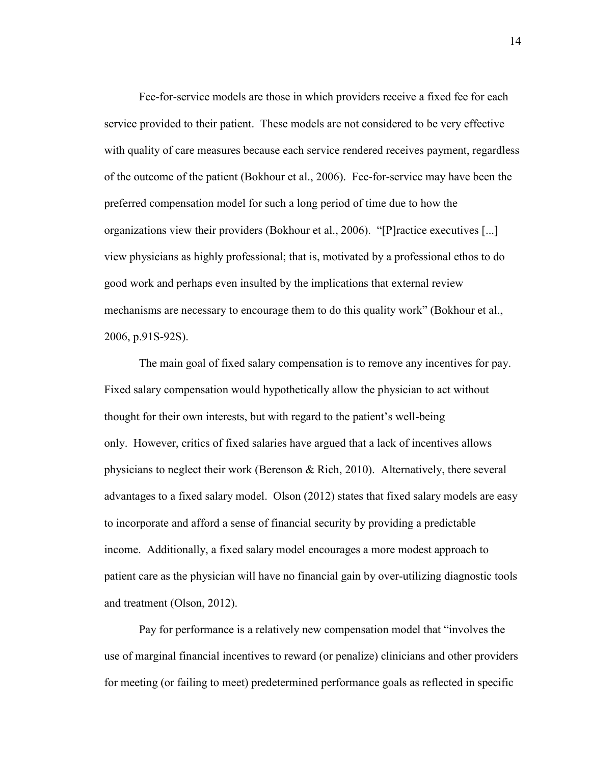Fee-for-service models are those in which providers receive a fixed fee for each service provided to their patient. These models are not considered to be very effective with quality of care measures because each service rendered receives payment, regardless of the outcome of the patient (Bokhour et al., 2006). Fee-for-service may have been the preferred compensation model for such a long period of time due to how the organizations view their providers (Bokhour et al., 2006). "[P]ractice executives [...] view physicians as highly professional; that is, motivated by a professional ethos to do good work and perhaps even insulted by the implications that external review mechanisms are necessary to encourage them to do this quality work" (Bokhour et al., 2006, p.91S-92S).

The main goal of fixed salary compensation is to remove any incentives for pay. Fixed salary compensation would hypothetically allow the physician to act without thought for their own interests, but with regard to the patient's well-being only. However, critics of fixed salaries have argued that a lack of incentives allows physicians to neglect their work (Berenson & Rich, 2010). Alternatively, there several advantages to a fixed salary model. Olson (2012) states that fixed salary models are easy to incorporate and afford a sense of financial security by providing a predictable income. Additionally, a fixed salary model encourages a more modest approach to patient care as the physician will have no financial gain by over-utilizing diagnostic tools and treatment (Olson, 2012).

Pay for performance is a relatively new compensation model that "involves the use of marginal financial incentives to reward (or penalize) clinicians and other providers for meeting (or failing to meet) predetermined performance goals as reflected in specific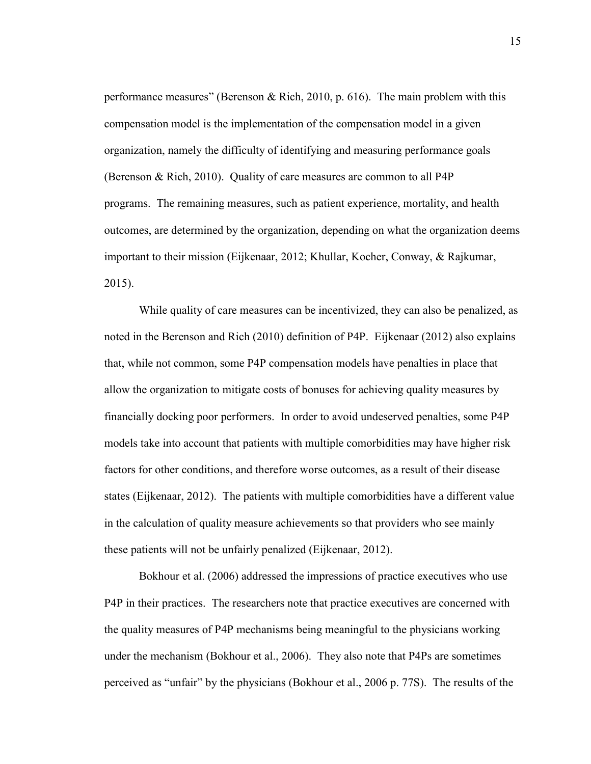performance measures" (Berenson & Rich, 2010, p. 616). The main problem with this compensation model is the implementation of the compensation model in a given organization, namely the difficulty of identifying and measuring performance goals (Berenson & Rich, 2010). Quality of care measures are common to all P4P programs. The remaining measures, such as patient experience, mortality, and health outcomes, are determined by the organization, depending on what the organization deems important to their mission (Eijkenaar, 2012; Khullar, Kocher, Conway, & Rajkumar, 2015).

While quality of care measures can be incentivized, they can also be penalized, as noted in the Berenson and Rich (2010) definition of P4P. Eijkenaar (2012) also explains that, while not common, some P4P compensation models have penalties in place that allow the organization to mitigate costs of bonuses for achieving quality measures by financially docking poor performers. In order to avoid undeserved penalties, some P4P models take into account that patients with multiple comorbidities may have higher risk factors for other conditions, and therefore worse outcomes, as a result of their disease states (Eijkenaar, 2012). The patients with multiple comorbidities have a different value in the calculation of quality measure achievements so that providers who see mainly these patients will not be unfairly penalized (Eijkenaar, 2012).

Bokhour et al. (2006) addressed the impressions of practice executives who use P4P in their practices. The researchers note that practice executives are concerned with the quality measures of P4P mechanisms being meaningful to the physicians working under the mechanism (Bokhour et al., 2006). They also note that P4Ps are sometimes perceived as "unfair" by the physicians (Bokhour et al., 2006 p. 77S). The results of the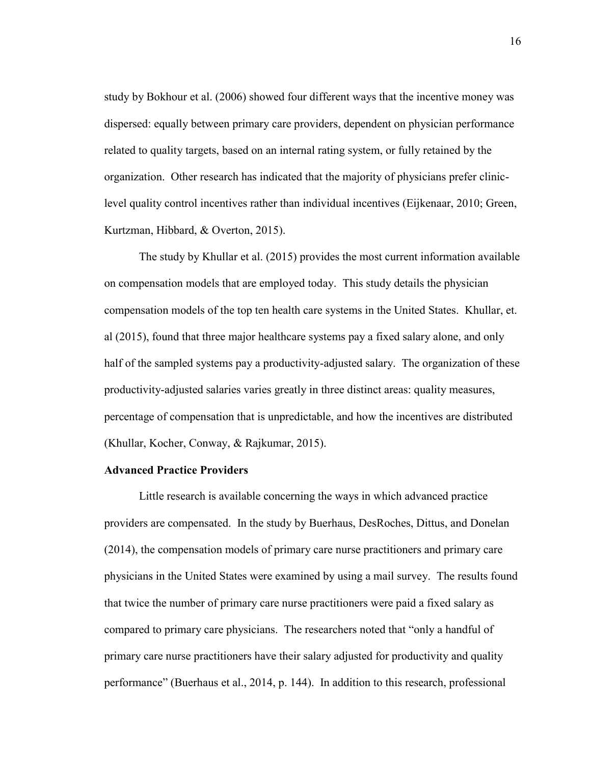study by Bokhour et al. (2006) showed four different ways that the incentive money was dispersed: equally between primary care providers, dependent on physician performance related to quality targets, based on an internal rating system, or fully retained by the organization. Other research has indicated that the majority of physicians prefer cliniclevel quality control incentives rather than individual incentives (Eijkenaar, 2010; Green, Kurtzman, Hibbard, & Overton, 2015).

The study by Khullar et al. (2015) provides the most current information available on compensation models that are employed today. This study details the physician compensation models of the top ten health care systems in the United States. Khullar, et. al (2015), found that three major healthcare systems pay a fixed salary alone, and only half of the sampled systems pay a productivity-adjusted salary. The organization of these productivity-adjusted salaries varies greatly in three distinct areas: quality measures, percentage of compensation that is unpredictable, and how the incentives are distributed (Khullar, Kocher, Conway, & Rajkumar, 2015).

#### **Advanced Practice Providers**

Little research is available concerning the ways in which advanced practice providers are compensated. In the study by Buerhaus, DesRoches, Dittus, and Donelan (2014), the compensation models of primary care nurse practitioners and primary care physicians in the United States were examined by using a mail survey. The results found that twice the number of primary care nurse practitioners were paid a fixed salary as compared to primary care physicians. The researchers noted that "only a handful of primary care nurse practitioners have their salary adjusted for productivity and quality performance" (Buerhaus et al., 2014, p. 144). In addition to this research, professional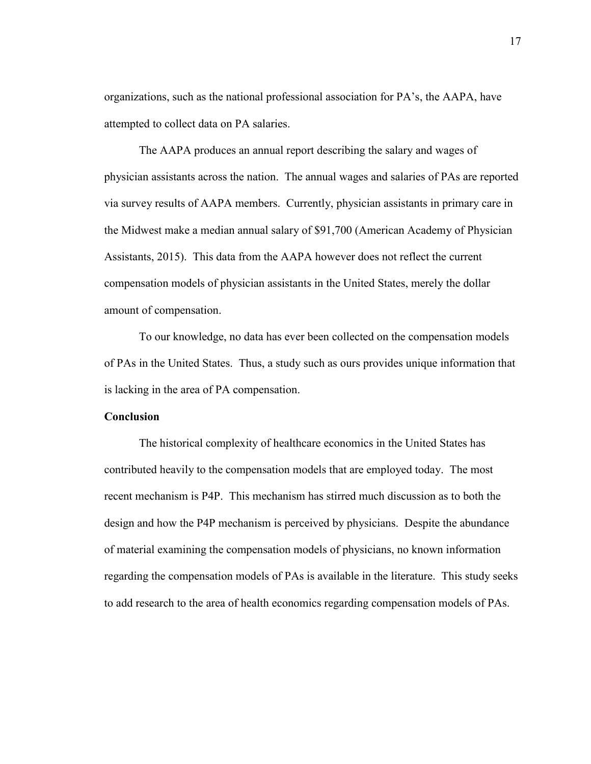organizations, such as the national professional association for PA's, the AAPA, have attempted to collect data on PA salaries.

The AAPA produces an annual report describing the salary and wages of physician assistants across the nation. The annual wages and salaries of PAs are reported via survey results of AAPA members. Currently, physician assistants in primary care in the Midwest make a median annual salary of \$91,700 (American Academy of Physician Assistants, 2015). This data from the AAPA however does not reflect the current compensation models of physician assistants in the United States, merely the dollar amount of compensation.

To our knowledge, no data has ever been collected on the compensation models of PAs in the United States. Thus, a study such as ours provides unique information that is lacking in the area of PA compensation.

## **Conclusion**

The historical complexity of healthcare economics in the United States has contributed heavily to the compensation models that are employed today. The most recent mechanism is P4P. This mechanism has stirred much discussion as to both the design and how the P4P mechanism is perceived by physicians. Despite the abundance of material examining the compensation models of physicians, no known information regarding the compensation models of PAs is available in the literature. This study seeks to add research to the area of health economics regarding compensation models of PAs.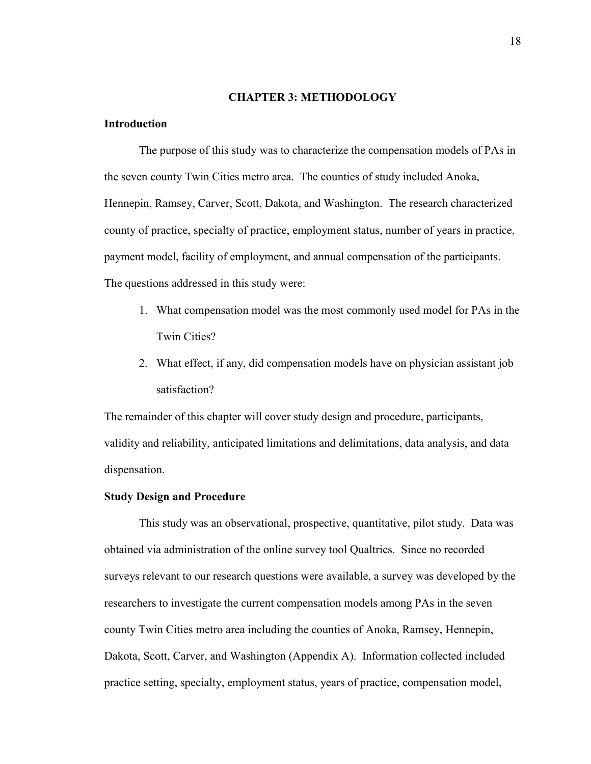#### **CHAPTER 3: METHODOLOGY**

## **Introduction**

The purpose of this study was to characterize the compensation models of PAs in the seven county Twin Cities metro area. The counties of study included Anoka, Hennepin, Ramsey, Carver, Scott, Dakota, and Washington. The research characterized county of practice, specialty of practice, employment status, number of years in practice, payment model, facility of employment, and annual compensation of the participants. The questions addressed in this study were:

- 1. What compensation model was the most commonly used model for PAs in the Twin Cities?
- 2. What effect, if any, did compensation models have on physician assistant job satisfaction?

The remainder of this chapter will cover study design and procedure, participants, validity and reliability, anticipated limitations and delimitations, data analysis, and data dispensation.

### **Study Design and Procedure**

This study was an observational, prospective, quantitative, pilot study. Data was obtained via administration of the online survey tool Qualtrics. Since no recorded surveys relevant to our research questions were available, a survey was developed by the researchers to investigate the current compensation models among PAs in the seven county Twin Cities metro area including the counties of Anoka, Ramsey, Hennepin, Dakota, Scott, Carver, and Washington (Appendix A). Information collected included practice setting, specialty, employment status, years of practice, compensation model,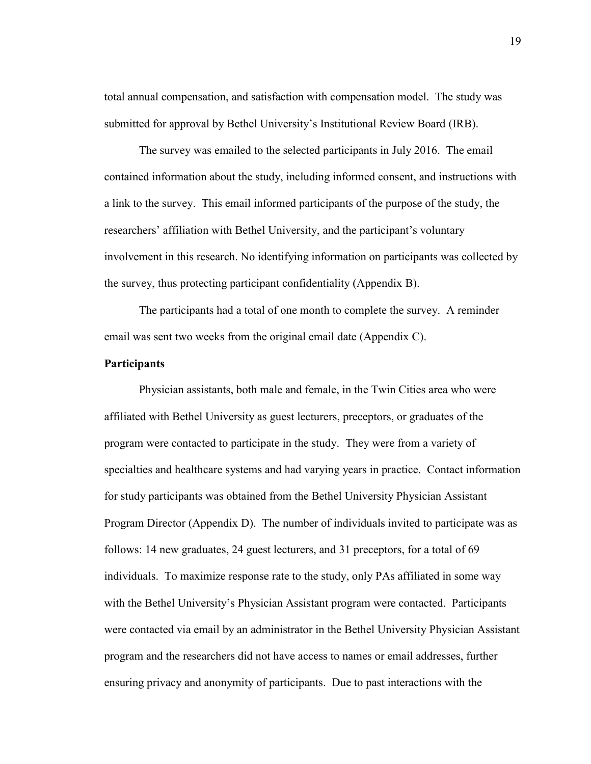total annual compensation, and satisfaction with compensation model. The study was submitted for approval by Bethel University's Institutional Review Board (IRB).

The survey was emailed to the selected participants in July 2016. The email contained information about the study, including informed consent, and instructions with a link to the survey. This email informed participants of the purpose of the study, the researchers' affiliation with Bethel University, and the participant's voluntary involvement in this research. No identifying information on participants was collected by the survey, thus protecting participant confidentiality (Appendix B).

The participants had a total of one month to complete the survey. A reminder email was sent two weeks from the original email date (Appendix C).

## **Participants**

Physician assistants, both male and female, in the Twin Cities area who were affiliated with Bethel University as guest lecturers, preceptors, or graduates of the program were contacted to participate in the study. They were from a variety of specialties and healthcare systems and had varying years in practice. Contact information for study participants was obtained from the Bethel University Physician Assistant Program Director (Appendix D). The number of individuals invited to participate was as follows: 14 new graduates, 24 guest lecturers, and 31 preceptors, for a total of 69 individuals. To maximize response rate to the study, only PAs affiliated in some way with the Bethel University's Physician Assistant program were contacted. Participants were contacted via email by an administrator in the Bethel University Physician Assistant program and the researchers did not have access to names or email addresses, further ensuring privacy and anonymity of participants. Due to past interactions with the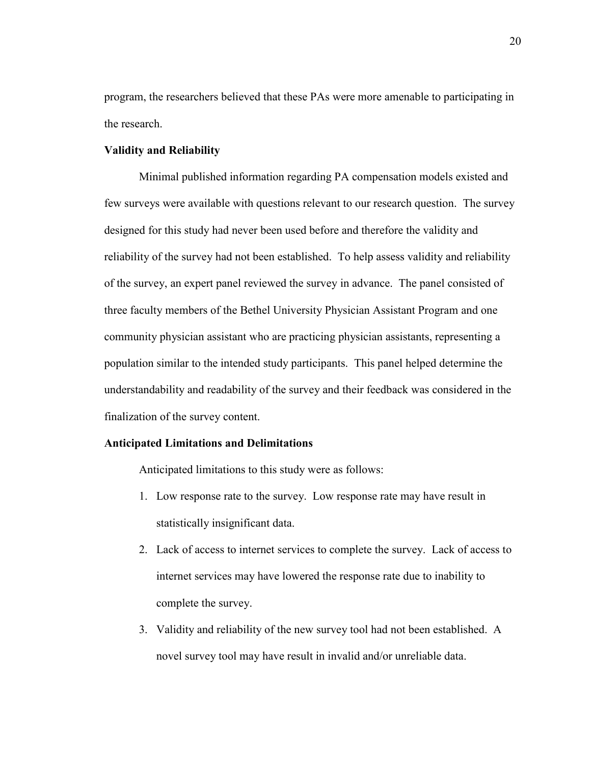program, the researchers believed that these PAs were more amenable to participating in the research.

## **Validity and Reliability**

Minimal published information regarding PA compensation models existed and few surveys were available with questions relevant to our research question. The survey designed for this study had never been used before and therefore the validity and reliability of the survey had not been established. To help assess validity and reliability of the survey, an expert panel reviewed the survey in advance. The panel consisted of three faculty members of the Bethel University Physician Assistant Program and one community physician assistant who are practicing physician assistants, representing a population similar to the intended study participants. This panel helped determine the understandability and readability of the survey and their feedback was considered in the finalization of the survey content.

## **Anticipated Limitations and Delimitations**

Anticipated limitations to this study were as follows:

- 1. Low response rate to the survey. Low response rate may have result in statistically insignificant data.
- 2. Lack of access to internet services to complete the survey. Lack of access to internet services may have lowered the response rate due to inability to complete the survey.
- 3. Validity and reliability of the new survey tool had not been established. A novel survey tool may have result in invalid and/or unreliable data.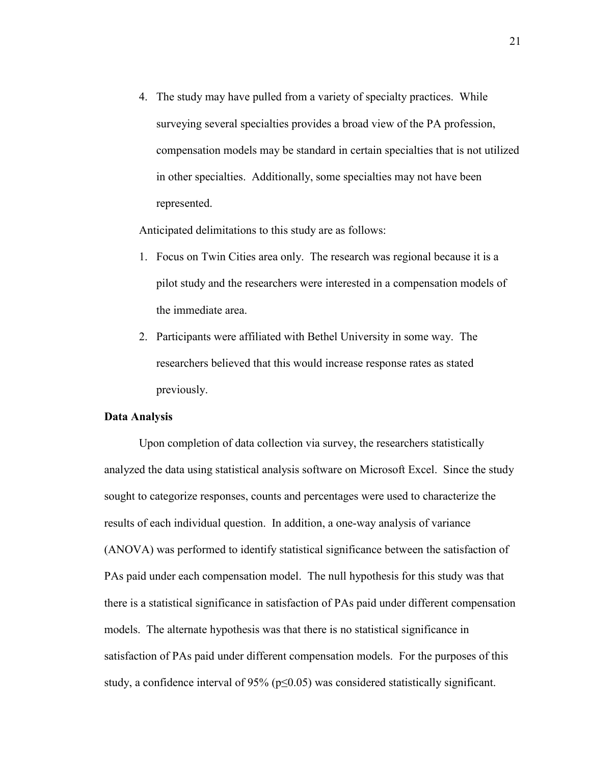4. The study may have pulled from a variety of specialty practices. While surveying several specialties provides a broad view of the PA profession, compensation models may be standard in certain specialties that is not utilized in other specialties. Additionally, some specialties may not have been represented.

Anticipated delimitations to this study are as follows:

- 1. Focus on Twin Cities area only. The research was regional because it is a pilot study and the researchers were interested in a compensation models of the immediate area.
- 2. Participants were affiliated with Bethel University in some way. The researchers believed that this would increase response rates as stated previously.

## **Data Analysis**

Upon completion of data collection via survey, the researchers statistically analyzed the data using statistical analysis software on Microsoft Excel. Since the study sought to categorize responses, counts and percentages were used to characterize the results of each individual question. In addition, a one-way analysis of variance (ANOVA) was performed to identify statistical significance between the satisfaction of PAs paid under each compensation model. The null hypothesis for this study was that there is a statistical significance in satisfaction of PAs paid under different compensation models. The alternate hypothesis was that there is no statistical significance in satisfaction of PAs paid under different compensation models. For the purposes of this study, a confidence interval of 95% ( $p \le 0.05$ ) was considered statistically significant.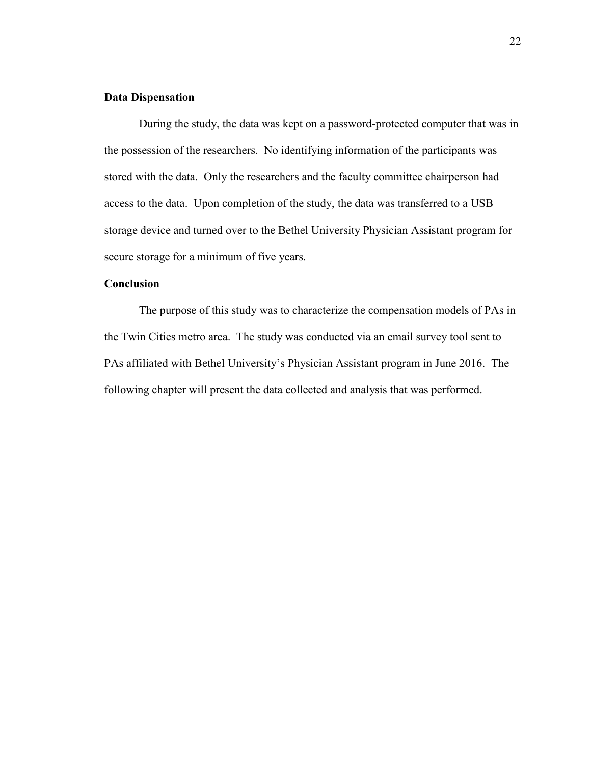#### **Data Dispensation**

During the study, the data was kept on a password-protected computer that was in the possession of the researchers. No identifying information of the participants was stored with the data. Only the researchers and the faculty committee chairperson had access to the data. Upon completion of the study, the data was transferred to a USB storage device and turned over to the Bethel University Physician Assistant program for secure storage for a minimum of five years.

# **Conclusion**

The purpose of this study was to characterize the compensation models of PAs in the Twin Cities metro area. The study was conducted via an email survey tool sent to PAs affiliated with Bethel University's Physician Assistant program in June 2016. The following chapter will present the data collected and analysis that was performed.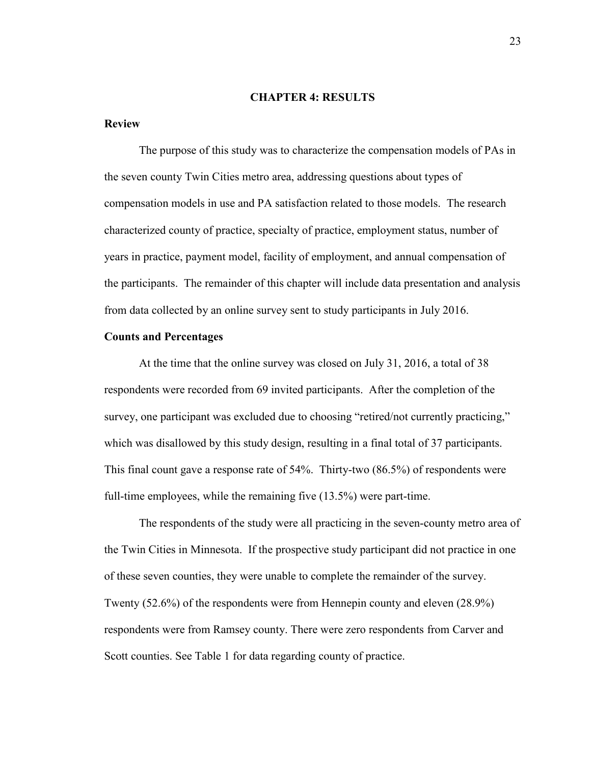#### **CHAPTER 4: RESULTS**

## **Review**

The purpose of this study was to characterize the compensation models of PAs in the seven county Twin Cities metro area, addressing questions about types of compensation models in use and PA satisfaction related to those models. The research characterized county of practice, specialty of practice, employment status, number of years in practice, payment model, facility of employment, and annual compensation of the participants. The remainder of this chapter will include data presentation and analysis from data collected by an online survey sent to study participants in July 2016.

## **Counts and Percentages**

At the time that the online survey was closed on July 31, 2016, a total of 38 respondents were recorded from 69 invited participants. After the completion of the survey, one participant was excluded due to choosing "retired/not currently practicing," which was disallowed by this study design, resulting in a final total of 37 participants. This final count gave a response rate of 54%. Thirty-two (86.5%) of respondents were full-time employees, while the remaining five (13.5%) were part-time.

The respondents of the study were all practicing in the seven-county metro area of the Twin Cities in Minnesota. If the prospective study participant did not practice in one of these seven counties, they were unable to complete the remainder of the survey. Twenty (52.6%) of the respondents were from Hennepin county and eleven (28.9%) respondents were from Ramsey county. There were zero respondents from Carver and Scott counties. See Table 1 for data regarding county of practice.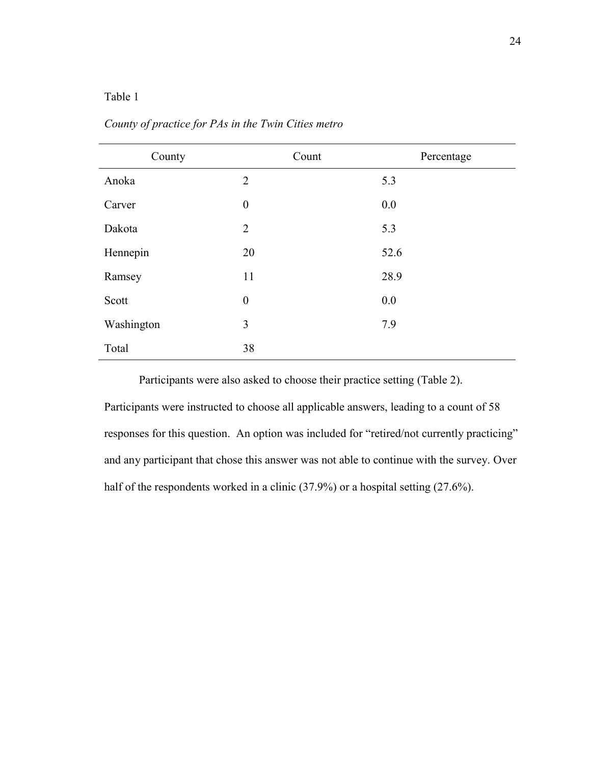# Table 1

| County     | Count            | Percentage |
|------------|------------------|------------|
| Anoka      | $\overline{2}$   | 5.3        |
| Carver     | $\boldsymbol{0}$ | 0.0        |
| Dakota     | $\overline{2}$   | 5.3        |
| Hennepin   | 20               | 52.6       |
| Ramsey     | 11               | 28.9       |
| Scott      | $\boldsymbol{0}$ | 0.0        |
| Washington | 3                | 7.9        |
| Total      | 38               |            |

*County of practice for PAs in the Twin Cities metro*

Participants were also asked to choose their practice setting (Table 2).

Participants were instructed to choose all applicable answers, leading to a count of 58 responses for this question. An option was included for "retired/not currently practicing" and any participant that chose this answer was not able to continue with the survey. Over half of the respondents worked in a clinic (37.9%) or a hospital setting (27.6%).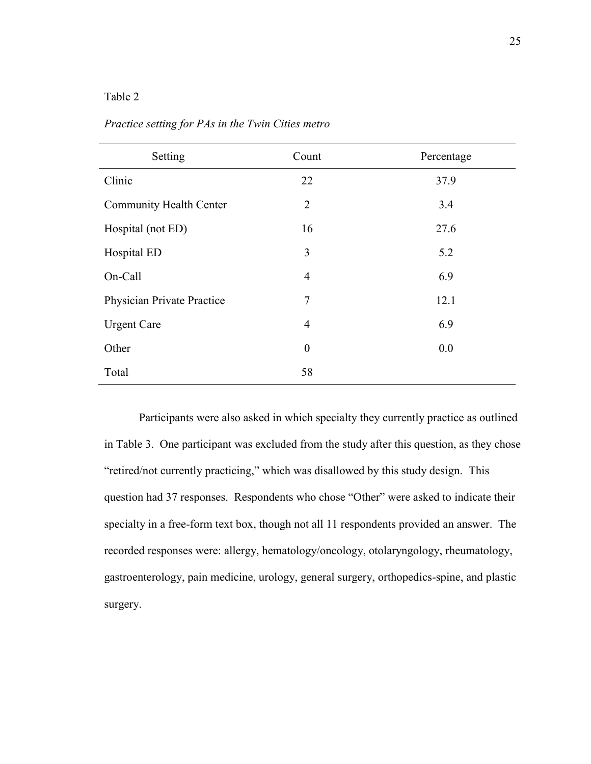# Table 2

| Setting                        | Count            | Percentage |
|--------------------------------|------------------|------------|
| Clinic                         | 22               | 37.9       |
| <b>Community Health Center</b> | $\overline{2}$   | 3.4        |
| Hospital (not ED)              | 16               | 27.6       |
| Hospital ED                    | 3                | 5.2        |
| On-Call                        | $\overline{4}$   | 6.9        |
| Physician Private Practice     | $\overline{7}$   | 12.1       |
| <b>Urgent Care</b>             | $\overline{4}$   | 6.9        |
| Other                          | $\boldsymbol{0}$ | 0.0        |
| Total                          | 58               |            |

*Practice setting for PAs in the Twin Cities metro*

Participants were also asked in which specialty they currently practice as outlined in Table 3. One participant was excluded from the study after this question, as they chose "retired/not currently practicing," which was disallowed by this study design. This question had 37 responses. Respondents who chose "Other" were asked to indicate their specialty in a free-form text box, though not all 11 respondents provided an answer. The recorded responses were: allergy, hematology/oncology, otolaryngology, rheumatology, gastroenterology, pain medicine, urology, general surgery, orthopedics-spine, and plastic surgery.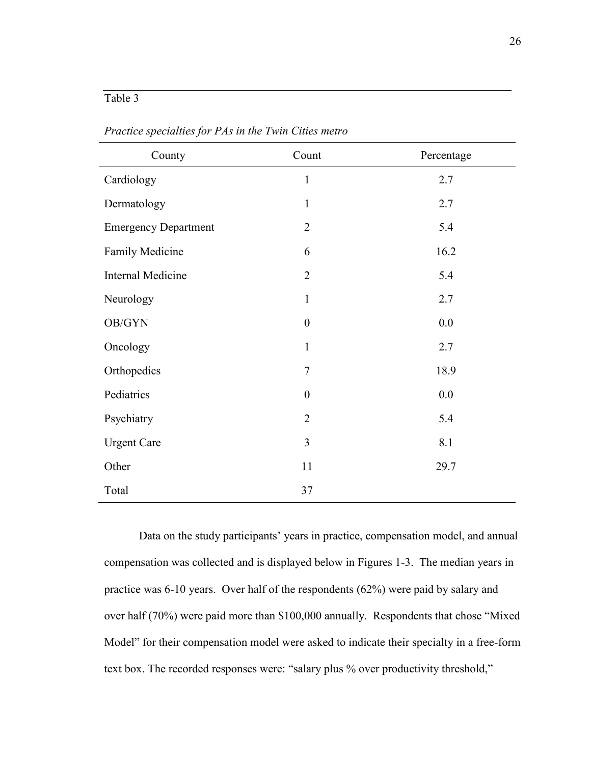# Table 3

| County                      | Count            | Percentage |
|-----------------------------|------------------|------------|
| Cardiology                  | $\mathbf{1}$     | 2.7        |
| Dermatology                 | $\mathbf{1}$     | 2.7        |
| <b>Emergency Department</b> | $\overline{2}$   | 5.4        |
| Family Medicine             | 6                | 16.2       |
| Internal Medicine           | $\overline{2}$   | 5.4        |
| Neurology                   | $\mathbf{1}$     | 2.7        |
| OB/GYN                      | $\boldsymbol{0}$ | 0.0        |
| Oncology                    | $\mathbf{1}$     | 2.7        |
| Orthopedics                 | $\tau$           | 18.9       |
| Pediatrics                  | $\boldsymbol{0}$ | 0.0        |
| Psychiatry                  | $\overline{2}$   | 5.4        |
| <b>Urgent Care</b>          | 3                | 8.1        |
| Other                       | 11               | 29.7       |
| Total                       | 37               |            |

*Practice specialties for PAs in the Twin Cities metro*

Data on the study participants' years in practice, compensation model, and annual compensation was collected and is displayed below in Figures 1-3. The median years in practice was 6-10 years. Over half of the respondents (62%) were paid by salary and over half (70%) were paid more than \$100,000 annually. Respondents that chose "Mixed Model" for their compensation model were asked to indicate their specialty in a free-form text box. The recorded responses were: "salary plus % over productivity threshold,"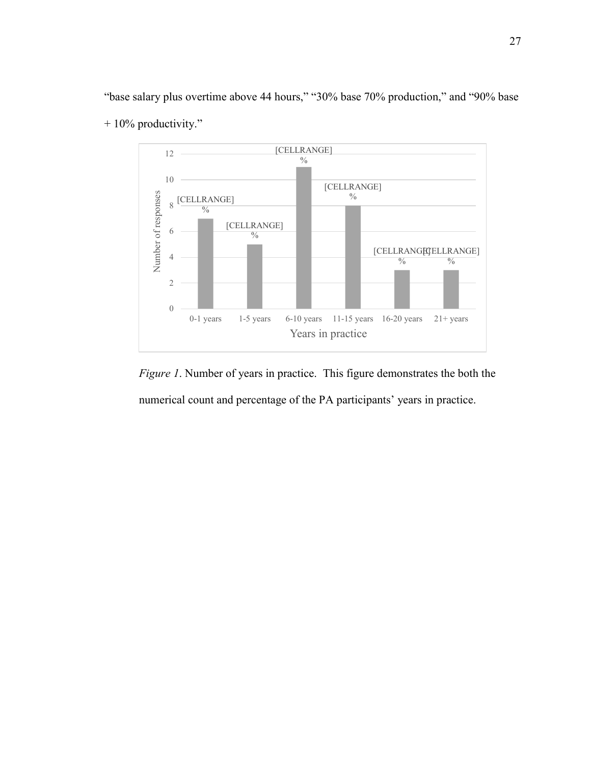"base salary plus overtime above 44 hours," "30% base 70% production," and "90% base  $+ 10\%$  productivity."



*Figure 1*. Number of years in practice. This figure demonstrates the both the numerical count and percentage of the PA participants' years in practice.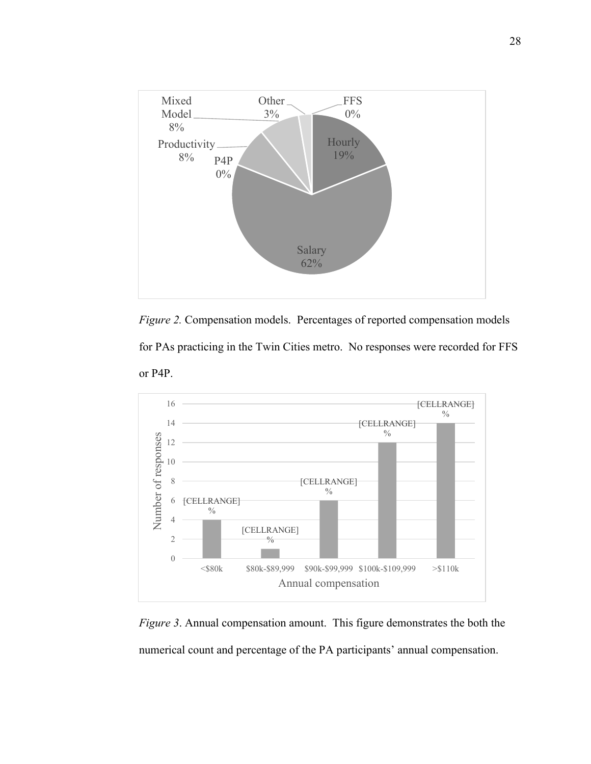

*Figure 2.* Compensation models. Percentages of reported compensation models for PAs practicing in the Twin Cities metro. No responses were recorded for FFS or P4P.



*Figure 3*. Annual compensation amount. This figure demonstrates the both the numerical count and percentage of the PA participants' annual compensation.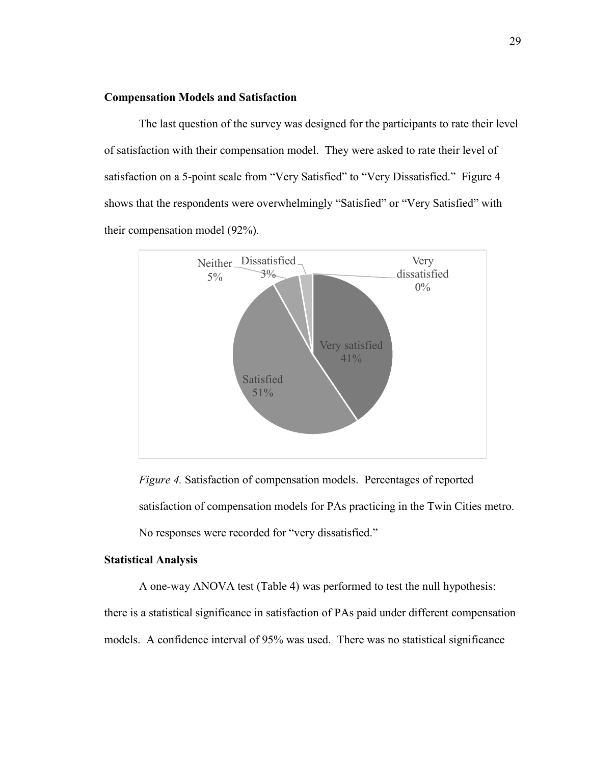#### **Compensation Models and Satisfaction**

The last question of the survey was designed for the participants to rate their level of satisfaction with their compensation model. They were asked to rate their level of satisfaction on a 5-point scale from "Very Satisfied" to "Very Dissatisfied." Figure 4 shows that the respondents were overwhelmingly "Satisfied" or "Very Satisfied" with their compensation model (92%).



*Figure 4.* Satisfaction of compensation models. Percentages of reported satisfaction of compensation models for PAs practicing in the Twin Cities metro. No responses were recorded for "very dissatisfied."

#### **Statistical Analysis**

 A one-way ANOVA test (Table 4) was performed to test the null hypothesis: there is a statistical significance in satisfaction of PAs paid under different compensation models. A confidence interval of 95% was used. There was no statistical significance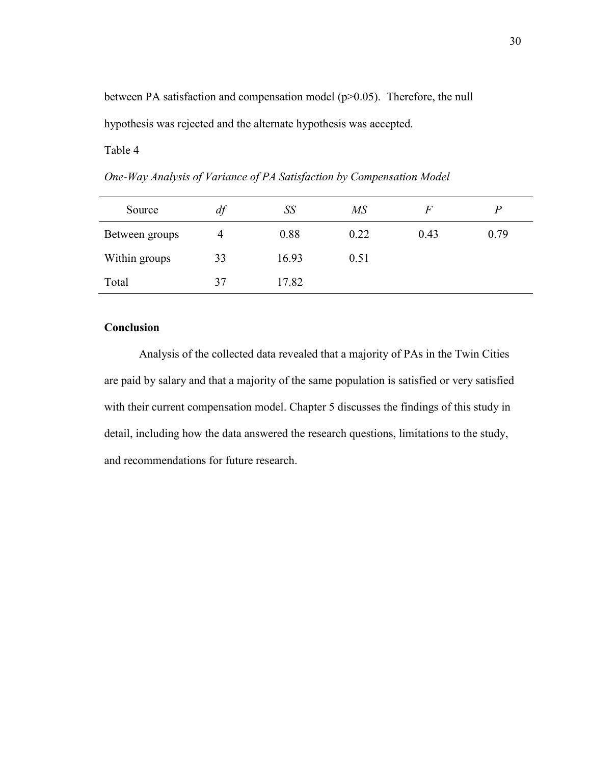between PA satisfaction and compensation model (p>0.05). Therefore, the null hypothesis was rejected and the alternate hypothesis was accepted.

Table 4

*One-Way Analysis of Variance of PA Satisfaction by Compensation Model*

| Source         | df | SS    | $M\!S$ | F    |      |
|----------------|----|-------|--------|------|------|
| Between groups | 4  | 0.88  | 0.22   | 0.43 | 0.79 |
| Within groups  | 33 | 16.93 | 0.51   |      |      |
| Total          | 37 | 17.82 |        |      |      |

## **Conclusion**

 Analysis of the collected data revealed that a majority of PAs in the Twin Cities are paid by salary and that a majority of the same population is satisfied or very satisfied with their current compensation model. Chapter 5 discusses the findings of this study in detail, including how the data answered the research questions, limitations to the study, and recommendations for future research.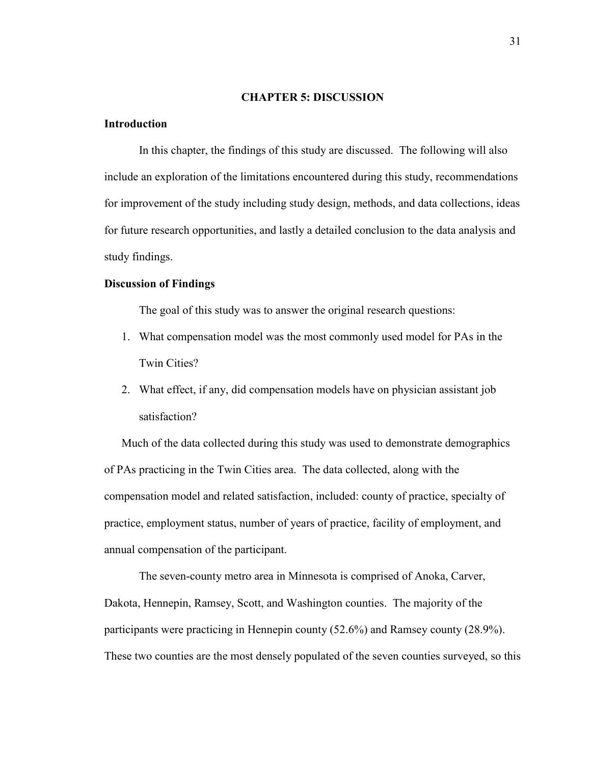#### **CHAPTER 5: DISCUSSION**

## **Introduction**

In this chapter, the findings of this study are discussed. The following will also include an exploration of the limitations encountered during this study, recommendations for improvement of the study including study design, methods, and data collections, ideas for future research opportunities, and lastly a detailed conclusion to the data analysis and study findings.

## **Discussion of Findings**

The goal of this study was to answer the original research questions:

- 1. What compensation model was the most commonly used model for PAs in the Twin Cities?
- 2. What effect, if any, did compensation models have on physician assistant job satisfaction?

Much of the data collected during this study was used to demonstrate demographics of PAs practicing in the Twin Cities area. The data collected, along with the compensation model and related satisfaction, included: county of practice, specialty of practice, employment status, number of years of practice, facility of employment, and annual compensation of the participant.

The seven-county metro area in Minnesota is comprised of Anoka, Carver, Dakota, Hennepin, Ramsey, Scott, and Washington counties. The majority of the participants were practicing in Hennepin county (52.6%) and Ramsey county (28.9%). These two counties are the most densely populated of the seven counties surveyed, so this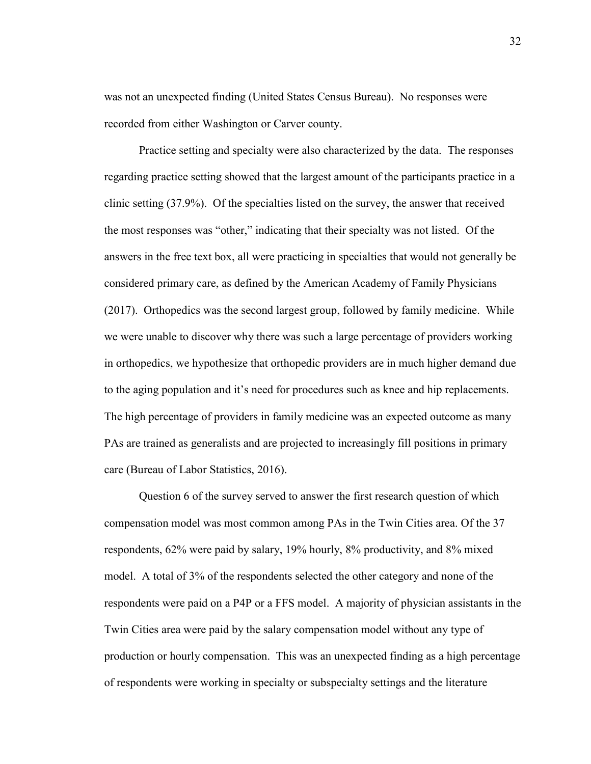was not an unexpected finding (United States Census Bureau). No responses were recorded from either Washington or Carver county.

Practice setting and specialty were also characterized by the data. The responses regarding practice setting showed that the largest amount of the participants practice in a clinic setting (37.9%). Of the specialties listed on the survey, the answer that received the most responses was "other," indicating that their specialty was not listed. Of the answers in the free text box, all were practicing in specialties that would not generally be considered primary care, as defined by the American Academy of Family Physicians (2017). Orthopedics was the second largest group, followed by family medicine. While we were unable to discover why there was such a large percentage of providers working in orthopedics, we hypothesize that orthopedic providers are in much higher demand due to the aging population and it's need for procedures such as knee and hip replacements. The high percentage of providers in family medicine was an expected outcome as many PAs are trained as generalists and are projected to increasingly fill positions in primary care (Bureau of Labor Statistics, 2016).

Question 6 of the survey served to answer the first research question of which compensation model was most common among PAs in the Twin Cities area. Of the 37 respondents, 62% were paid by salary, 19% hourly, 8% productivity, and 8% mixed model. A total of 3% of the respondents selected the other category and none of the respondents were paid on a P4P or a FFS model. A majority of physician assistants in the Twin Cities area were paid by the salary compensation model without any type of production or hourly compensation. This was an unexpected finding as a high percentage of respondents were working in specialty or subspecialty settings and the literature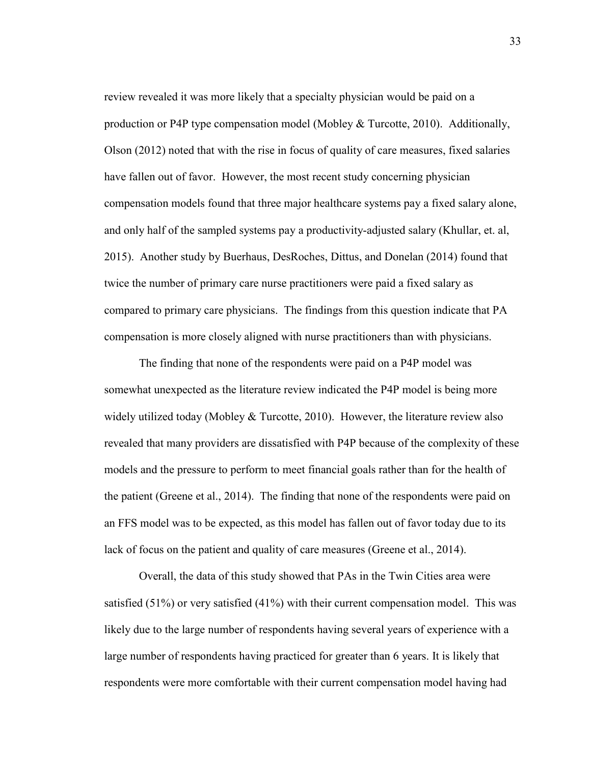review revealed it was more likely that a specialty physician would be paid on a production or P4P type compensation model (Mobley  $& \& \text{Turootte}, 2010$ ). Additionally, Olson (2012) noted that with the rise in focus of quality of care measures, fixed salaries have fallen out of favor. However, the most recent study concerning physician compensation models found that three major healthcare systems pay a fixed salary alone, and only half of the sampled systems pay a productivity-adjusted salary (Khullar, et. al, 2015). Another study by Buerhaus, DesRoches, Dittus, and Donelan (2014) found that twice the number of primary care nurse practitioners were paid a fixed salary as compared to primary care physicians. The findings from this question indicate that PA compensation is more closely aligned with nurse practitioners than with physicians.

The finding that none of the respondents were paid on a P4P model was somewhat unexpected as the literature review indicated the P4P model is being more widely utilized today (Mobley  $&$  Turcotte, 2010). However, the literature review also revealed that many providers are dissatisfied with P4P because of the complexity of these models and the pressure to perform to meet financial goals rather than for the health of the patient (Greene et al., 2014). The finding that none of the respondents were paid on an FFS model was to be expected, as this model has fallen out of favor today due to its lack of focus on the patient and quality of care measures (Greene et al., 2014).

Overall, the data of this study showed that PAs in the Twin Cities area were satisfied (51%) or very satisfied (41%) with their current compensation model. This was likely due to the large number of respondents having several years of experience with a large number of respondents having practiced for greater than 6 years. It is likely that respondents were more comfortable with their current compensation model having had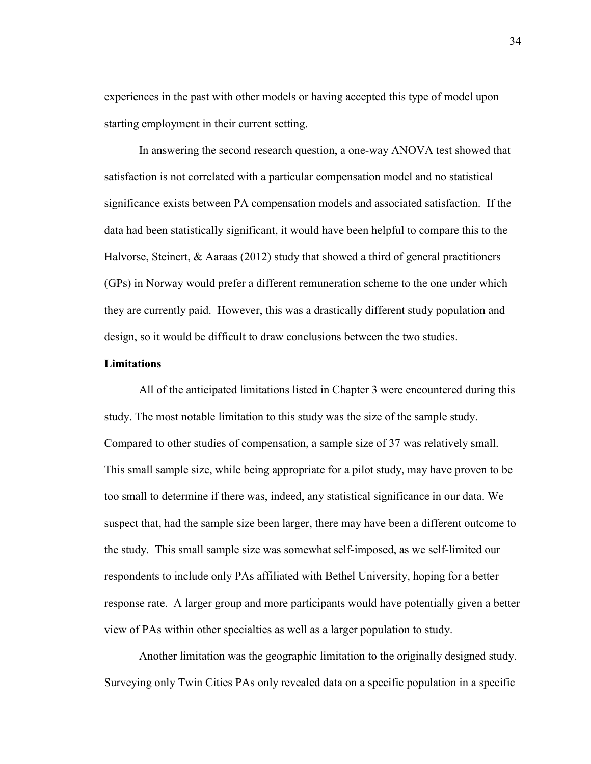experiences in the past with other models or having accepted this type of model upon starting employment in their current setting.

In answering the second research question, a one-way ANOVA test showed that satisfaction is not correlated with a particular compensation model and no statistical significance exists between PA compensation models and associated satisfaction. If the data had been statistically significant, it would have been helpful to compare this to the Halvorse, Steinert, & Aaraas (2012) study that showed a third of general practitioners (GPs) in Norway would prefer a different remuneration scheme to the one under which they are currently paid. However, this was a drastically different study population and design, so it would be difficult to draw conclusions between the two studies.

#### **Limitations**

All of the anticipated limitations listed in Chapter 3 were encountered during this study. The most notable limitation to this study was the size of the sample study. Compared to other studies of compensation, a sample size of 37 was relatively small. This small sample size, while being appropriate for a pilot study, may have proven to be too small to determine if there was, indeed, any statistical significance in our data. We suspect that, had the sample size been larger, there may have been a different outcome to the study. This small sample size was somewhat self-imposed, as we self-limited our respondents to include only PAs affiliated with Bethel University, hoping for a better response rate. A larger group and more participants would have potentially given a better view of PAs within other specialties as well as a larger population to study.

 Another limitation was the geographic limitation to the originally designed study. Surveying only Twin Cities PAs only revealed data on a specific population in a specific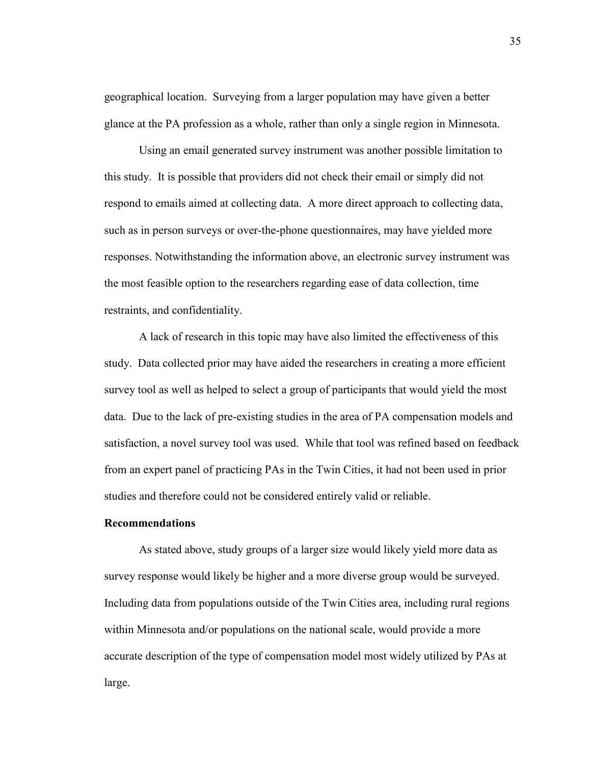geographical location. Surveying from a larger population may have given a better glance at the PA profession as a whole, rather than only a single region in Minnesota.

 Using an email generated survey instrument was another possible limitation to this study. It is possible that providers did not check their email or simply did not respond to emails aimed at collecting data. A more direct approach to collecting data, such as in person surveys or over-the-phone questionnaires, may have yielded more responses. Notwithstanding the information above, an electronic survey instrument was the most feasible option to the researchers regarding ease of data collection, time restraints, and confidentiality.

 A lack of research in this topic may have also limited the effectiveness of this study. Data collected prior may have aided the researchers in creating a more efficient survey tool as well as helped to select a group of participants that would yield the most data. Due to the lack of pre-existing studies in the area of PA compensation models and satisfaction, a novel survey tool was used. While that tool was refined based on feedback from an expert panel of practicing PAs in the Twin Cities, it had not been used in prior studies and therefore could not be considered entirely valid or reliable.

#### **Recommendations**

As stated above, study groups of a larger size would likely yield more data as survey response would likely be higher and a more diverse group would be surveyed. Including data from populations outside of the Twin Cities area, including rural regions within Minnesota and/or populations on the national scale, would provide a more accurate description of the type of compensation model most widely utilized by PAs at large.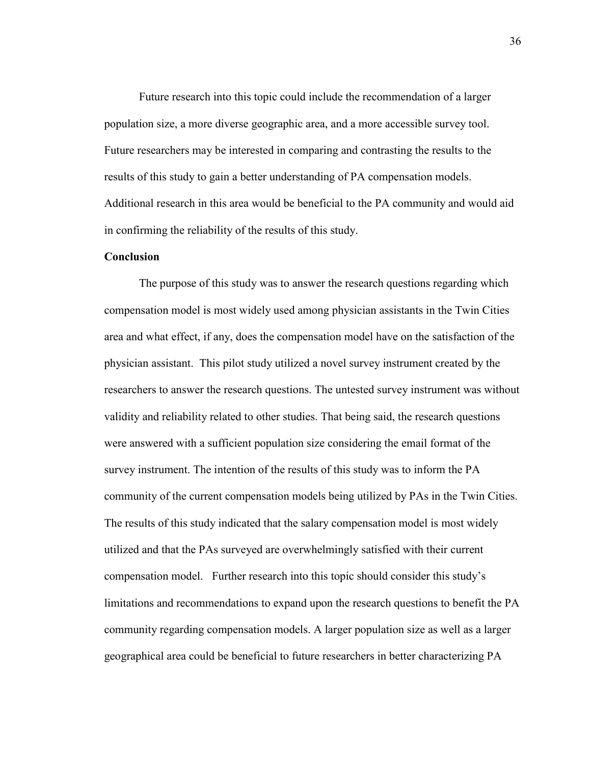Future research into this topic could include the recommendation of a larger population size, a more diverse geographic area, and a more accessible survey tool. Future researchers may be interested in comparing and contrasting the results to the results of this study to gain a better understanding of PA compensation models. Additional research in this area would be beneficial to the PA community and would aid in confirming the reliability of the results of this study.

# **Conclusion**

 The purpose of this study was to answer the research questions regarding which compensation model is most widely used among physician assistants in the Twin Cities area and what effect, if any, does the compensation model have on the satisfaction of the physician assistant. This pilot study utilized a novel survey instrument created by the researchers to answer the research questions. The untested survey instrument was without validity and reliability related to other studies. That being said, the research questions were answered with a sufficient population size considering the email format of the survey instrument. The intention of the results of this study was to inform the PA community of the current compensation models being utilized by PAs in the Twin Cities. The results of this study indicated that the salary compensation model is most widely utilized and that the PAs surveyed are overwhelmingly satisfied with their current compensation model. Further research into this topic should consider this study's limitations and recommendations to expand upon the research questions to benefit the PA community regarding compensation models. A larger population size as well as a larger geographical area could be beneficial to future researchers in better characterizing PA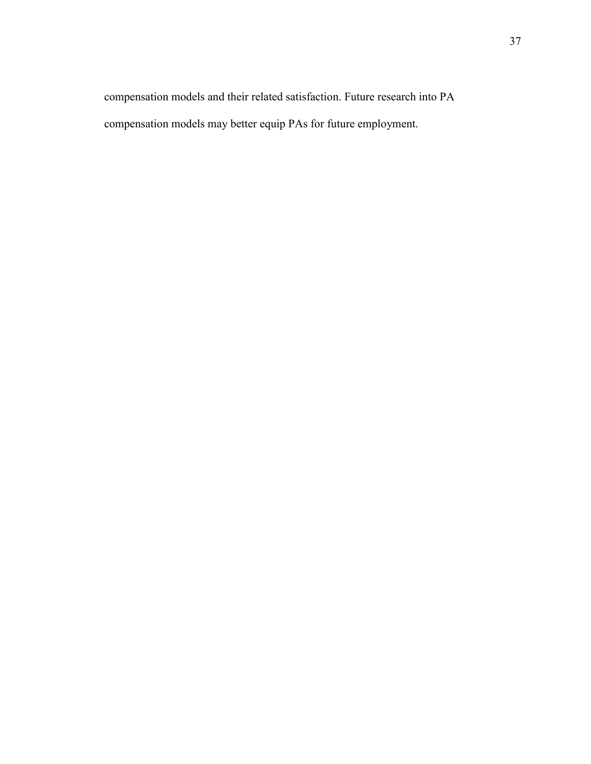compensation models and their related satisfaction. Future research into PA compensation models may better equip PAs for future employment.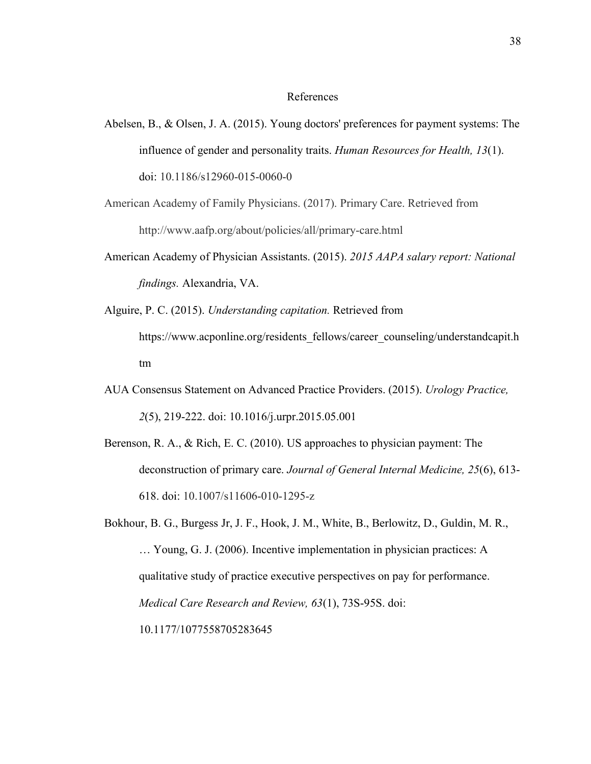#### References

- Abelsen, B., & Olsen, J. A. (2015). Young doctors' preferences for payment systems: The influence of gender and personality traits. *Human Resources for Health, 13*(1). doi: 10.1186/s12960-015-0060-0
- American Academy of Family Physicians. (2017). Primary Care. Retrieved from http://www.aafp.org/about/policies/all/primary-care.html
- American Academy of Physician Assistants. (2015). *2015 AAPA salary report: National findings.* Alexandria, VA.
- Alguire, P. C. (2015). *Understanding capitation.* Retrieved from https://www.acponline.org/residents fellows/career\_counseling/understandcapit.h tm
- AUA Consensus Statement on Advanced Practice Providers. (2015). *Urology Practice, 2*(5), 219-222. doi: 10.1016/j.urpr.2015.05.001
- Berenson, R. A., & Rich, E. C. (2010). US approaches to physician payment: The deconstruction of primary care. *Journal of General Internal Medicine, 25*(6), 613- 618. doi: 10.1007/s11606-010-1295-z
- Bokhour, B. G., Burgess Jr, J. F., Hook, J. M., White, B., Berlowitz, D., Guldin, M. R., … Young, G. J. (2006). Incentive implementation in physician practices: A qualitative study of practice executive perspectives on pay for performance. *Medical Care Research and Review, 63*(1), 73S-95S. doi: 10.1177/1077558705283645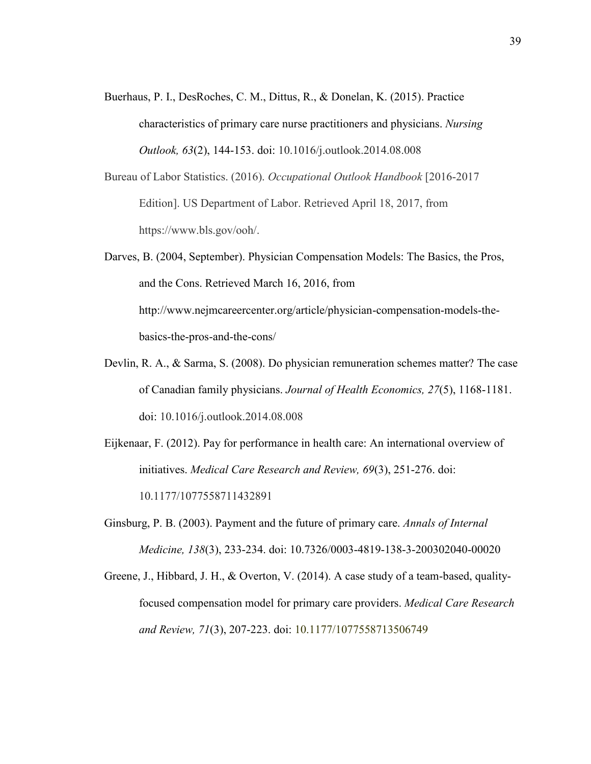- Buerhaus, P. I., DesRoches, C. M., Dittus, R., & Donelan, K. (2015). Practice characteristics of primary care nurse practitioners and physicians. *Nursing Outlook, 63*(2), 144-153. doi: 10.1016/j.outlook.2014.08.008
- Bureau of Labor Statistics. (2016). *Occupational Outlook Handbook* [2016-2017 Edition]. US Department of Labor. Retrieved April 18, 2017, from https://www.bls.gov/ooh/.
- Darves, B. (2004, September). Physician Compensation Models: The Basics, the Pros, and the Cons. Retrieved March 16, 2016, from http://www.nejmcareercenter.org/article/physician-compensation-models-thebasics-the-pros-and-the-cons/
- Devlin, R. A., & Sarma, S. (2008). Do physician remuneration schemes matter? The case of Canadian family physicians. *Journal of Health Economics, 27*(5), 1168-1181. doi: 10.1016/j.outlook.2014.08.008
- Eijkenaar, F. (2012). Pay for performance in health care: An international overview of initiatives. *Medical Care Research and Review, 69*(3), 251-276. doi: 10.1177/1077558711432891
- Ginsburg, P. B. (2003). Payment and the future of primary care. *Annals of Internal Medicine, 138*(3), 233-234. doi: 10.7326/0003-4819-138-3-200302040-00020
- Greene, J., Hibbard, J. H., & Overton, V. (2014). A case study of a team-based, qualityfocused compensation model for primary care providers. *Medical Care Research and Review, 71*(3), 207-223. doi: 10.1177/1077558713506749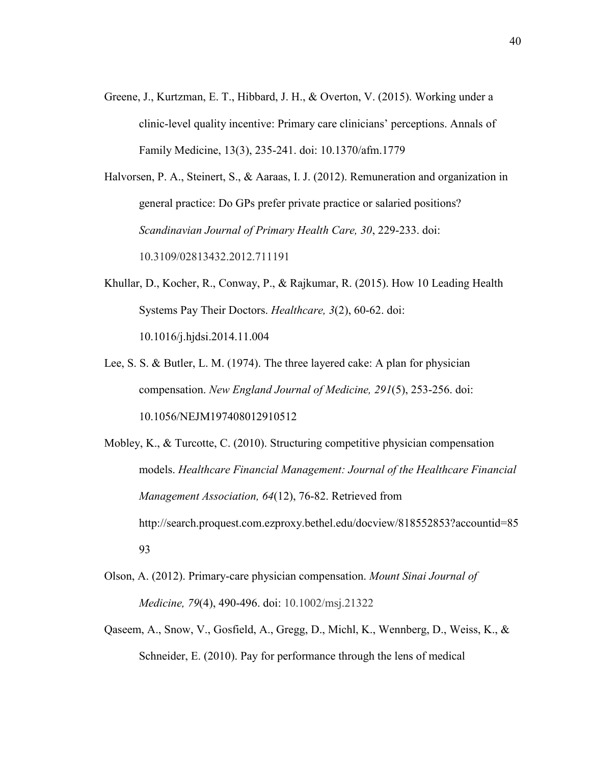Greene, J., Kurtzman, E. T., Hibbard, J. H., & Overton, V. (2015). Working under a clinic-level quality incentive: Primary care clinicians' perceptions. Annals of Family Medicine, 13(3), 235-241. doi: 10.1370/afm.1779

Halvorsen, P. A., Steinert, S., & Aaraas, I. J. (2012). Remuneration and organization in general practice: Do GPs prefer private practice or salaried positions? *Scandinavian Journal of Primary Health Care, 30*, 229-233. doi: 10.3109/02813432.2012.711191

- Khullar, D., Kocher, R., Conway, P., & Rajkumar, R. (2015). How 10 Leading Health Systems Pay Their Doctors. *Healthcare, 3*(2), 60-62. doi: 10.1016/j.hjdsi.2014.11.004
- Lee, S. S. & Butler, L. M. (1974). The three layered cake: A plan for physician compensation. *New England Journal of Medicine, 291*(5), 253-256. doi: 10.1056/NEJM197408012910512
- Mobley, K., & Turcotte, C. (2010). Structuring competitive physician compensation models. *Healthcare Financial Management: Journal of the Healthcare Financial Management Association, 64*(12), 76-82. Retrieved from http://search.proquest.com.ezproxy.bethel.edu/docview/818552853?accountid=85 93
- Olson, A. (2012). Primary-care physician compensation. *Mount Sinai Journal of Medicine, 79*(4), 490-496. doi: 10.1002/msj.21322
- Qaseem, A., Snow, V., Gosfield, A., Gregg, D., Michl, K., Wennberg, D., Weiss, K., & Schneider, E. (2010). Pay for performance through the lens of medical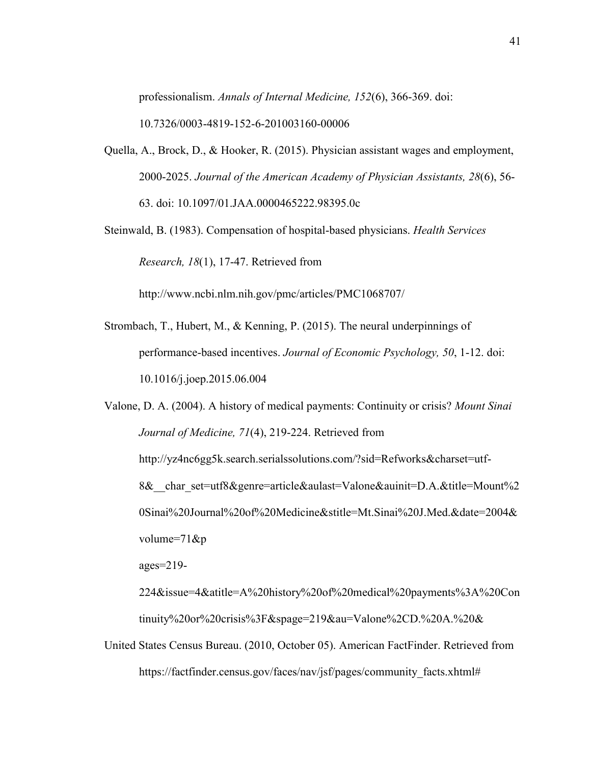professionalism. *Annals of Internal Medicine, 152*(6), 366-369. doi:

10.7326/0003-4819-152-6-201003160-00006

- Quella, A., Brock, D., & Hooker, R. (2015). Physician assistant wages and employment, 2000-2025. *Journal of the American Academy of Physician Assistants, 28*(6), 56- 63. doi: 10.1097/01.JAA.0000465222.98395.0c
- Steinwald, B. (1983). Compensation of hospital-based physicians. *Health Services Research, 18*(1), 17-47. Retrieved from

http://www.ncbi.nlm.nih.gov/pmc/articles/PMC1068707/

Strombach, T., Hubert, M., & Kenning, P. (2015). The neural underpinnings of performance-based incentives. *Journal of Economic Psychology, 50*, 1-12. doi: 10.1016/j.joep.2015.06.004

Valone, D. A. (2004). A history of medical payments: Continuity or crisis? *Mount Sinai Journal of Medicine, 71*(4), 219-224. Retrieved from http://yz4nc6gg5k.search.serialssolutions.com/?sid=Refworks&charset=utf-8&\_\_char\_set=utf8&genre=article&aulast=Valone&auinit=D.A.&title=Mount%2 0Sinai%20Journal%20of%20Medicine&stitle=Mt.Sinai%20J.Med.&date=2004& volume=71&p ages=219-

224&issue=4&atitle=A%20history%20of%20medical%20payments%3A%20Con tinuity%20or%20crisis%3F&spage=219&au=Valone%2CD.%20A.%20&

United States Census Bureau. (2010, October 05). American FactFinder. Retrieved from https://factfinder.census.gov/faces/nav/jsf/pages/community\_facts.xhtml#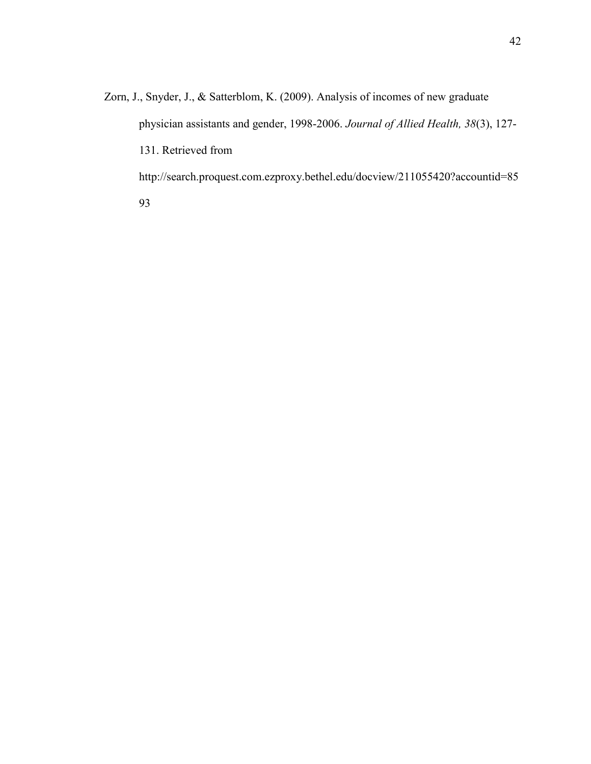Zorn, J., Snyder, J., & Satterblom, K. (2009). Analysis of incomes of new graduate physician assistants and gender, 1998-2006. *Journal of Allied Health, 38*(3), 127- 131. Retrieved from http://search.proquest.com.ezproxy.bethel.edu/docview/211055420?accountid=85

93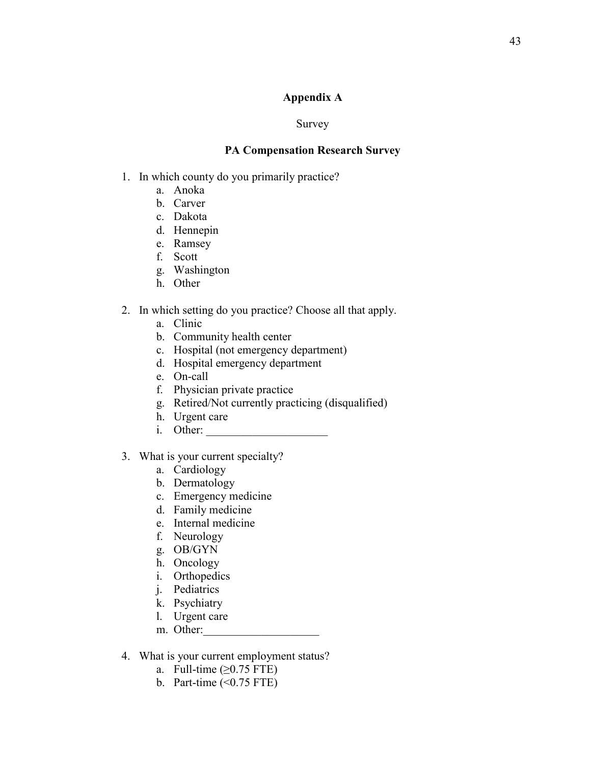# **Appendix A**

# Survey

# **PA Compensation Research Survey**

- 1. In which county do you primarily practice?
	- a. Anoka
	- b. Carver
	- c. Dakota
	- d. Hennepin
	- e. Ramsey
	- f. Scott
	- g. Washington
	- h. Other
- 2. In which setting do you practice? Choose all that apply.
	- a. Clinic
	- b. Community health center
	- c. Hospital (not emergency department)
	- d. Hospital emergency department
	- e. On-call
	- f. Physician private practice
	- g. Retired/Not currently practicing (disqualified)
	- h. Urgent care
	- i. Other:
- 3. What is your current specialty?
	- a. Cardiology
	- b. Dermatology
	- c. Emergency medicine
	- d. Family medicine
	- e. Internal medicine
	- f. Neurology
	- g. OB/GYN
	- h. Oncology
	- i. Orthopedics
	- j. Pediatrics
	- k. Psychiatry
	- l. Urgent care
	- m. Other:
- 4. What is your current employment status?
	- a. Full-time  $(\geq 0.75$  FTE)
	- b. Part-time  $(\leq 0.75$  FTE)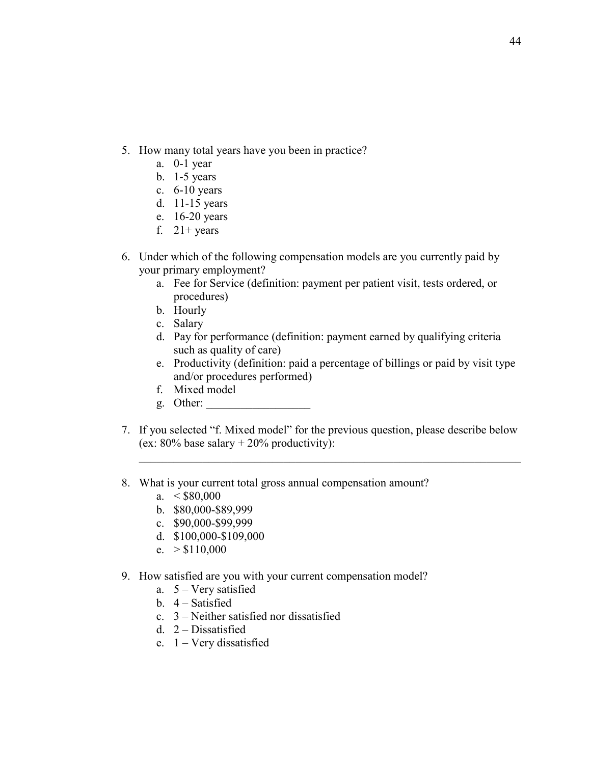- 5. How many total years have you been in practice?
	- a. 0-1 year
	- b. 1-5 years
	- c. 6-10 years
	- d. 11-15 years
	- e. 16-20 years
	- f.  $21+ years$
- 6. Under which of the following compensation models are you currently paid by your primary employment?
	- a. Fee for Service (definition: payment per patient visit, tests ordered, or procedures)
	- b. Hourly
	- c. Salary
	- d. Pay for performance (definition: payment earned by qualifying criteria such as quality of care)
	- e. Productivity (definition: paid a percentage of billings or paid by visit type and/or procedures performed)
	- f. Mixed model
	- g. Other:
- 7. If you selected "f. Mixed model" for the previous question, please describe below (ex:  $80\%$  base salary  $+ 20\%$  productivity):

\_\_\_\_\_\_\_\_\_\_\_\_\_\_\_\_\_\_\_\_\_\_\_\_\_\_\_\_\_\_\_\_\_\_\_\_\_\_\_\_\_\_\_\_\_\_\_\_\_\_\_\_\_\_\_\_\_\_\_\_\_\_\_\_\_\_

- 8. What is your current total gross annual compensation amount?
	- a.  $< $80,000$
	- b. \$80,000-\$89,999
	- c. \$90,000-\$99,999
	- d. \$100,000-\$109,000
	- e.  $> $110,000$
- 9. How satisfied are you with your current compensation model?
	- a. 5 Very satisfied
	- b. 4 Satisfied
	- c. 3 Neither satisfied nor dissatisfied
	- d. 2 Dissatisfied
	- e. 1 Very dissatisfied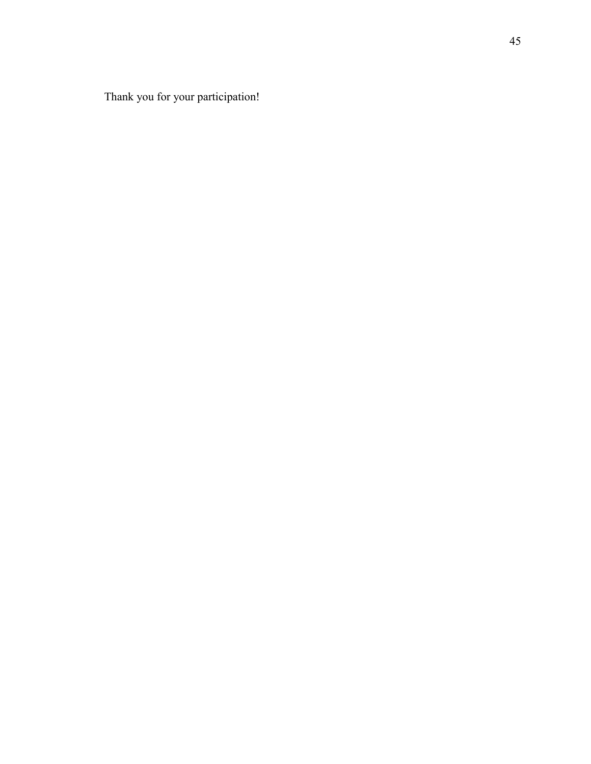Thank you for your participation!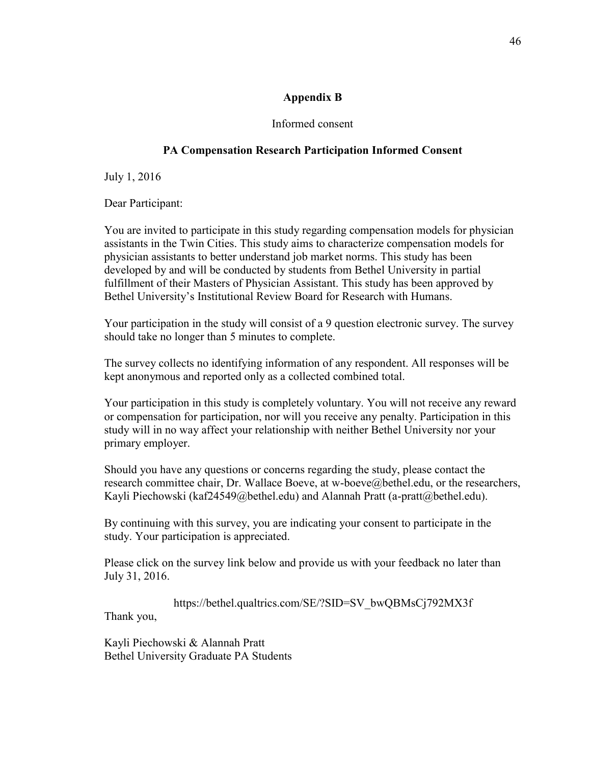# **Appendix B**

# Informed consent

# **PA Compensation Research Participation Informed Consent**

July 1, 2016

Dear Participant:

You are invited to participate in this study regarding compensation models for physician assistants in the Twin Cities. This study aims to characterize compensation models for physician assistants to better understand job market norms. This study has been developed by and will be conducted by students from Bethel University in partial fulfillment of their Masters of Physician Assistant. This study has been approved by Bethel University's Institutional Review Board for Research with Humans.

Your participation in the study will consist of a 9 question electronic survey. The survey should take no longer than 5 minutes to complete.

The survey collects no identifying information of any respondent. All responses will be kept anonymous and reported only as a collected combined total.

Your participation in this study is completely voluntary. You will not receive any reward or compensation for participation, nor will you receive any penalty. Participation in this study will in no way affect your relationship with neither Bethel University nor your primary employer.

Should you have any questions or concerns regarding the study, please contact the research committee chair, Dr. Wallace Boeve, at w-boeve@bethel.edu, or the researchers, Kayli Piechowski (kaf24549@bethel.edu) and Alannah Pratt (a-pratt@bethel.edu).

By continuing with this survey, you are indicating your consent to participate in the study. Your participation is appreciated.

Please click on the survey link below and provide us with your feedback no later than July 31, 2016.

https://bethel.qualtrics.com/SE/?SID=SV\_bwQBMsCj792MX3f

Thank you,

Kayli Piechowski & Alannah Pratt Bethel University Graduate PA Students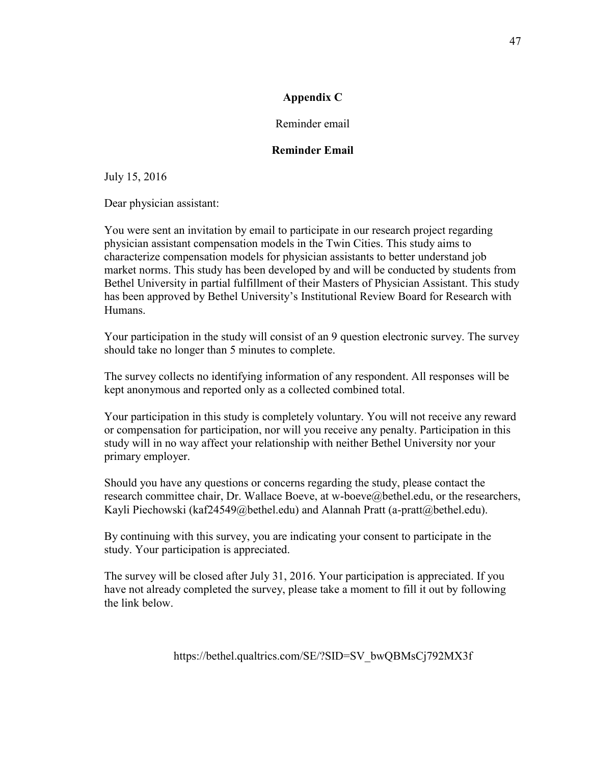# **Appendix C**

Reminder email

# **Reminder Email**

July 15, 2016

Dear physician assistant:

You were sent an invitation by email to participate in our research project regarding physician assistant compensation models in the Twin Cities. This study aims to characterize compensation models for physician assistants to better understand job market norms. This study has been developed by and will be conducted by students from Bethel University in partial fulfillment of their Masters of Physician Assistant. This study has been approved by Bethel University's Institutional Review Board for Research with Humans.

Your participation in the study will consist of an 9 question electronic survey. The survey should take no longer than 5 minutes to complete.

The survey collects no identifying information of any respondent. All responses will be kept anonymous and reported only as a collected combined total.

Your participation in this study is completely voluntary. You will not receive any reward or compensation for participation, nor will you receive any penalty. Participation in this study will in no way affect your relationship with neither Bethel University nor your primary employer.

Should you have any questions or concerns regarding the study, please contact the research committee chair, Dr. Wallace Boeve, at w-boeve@bethel.edu, or the researchers, Kayli Piechowski (kaf24549@bethel.edu) and Alannah Pratt (a-pratt@bethel.edu).

By continuing with this survey, you are indicating your consent to participate in the study. Your participation is appreciated.

The survey will be closed after July 31, 2016. Your participation is appreciated. If you have not already completed the survey, please take a moment to fill it out by following the link below.

https://bethel.qualtrics.com/SE/?SID=SV\_bwQBMsCj792MX3f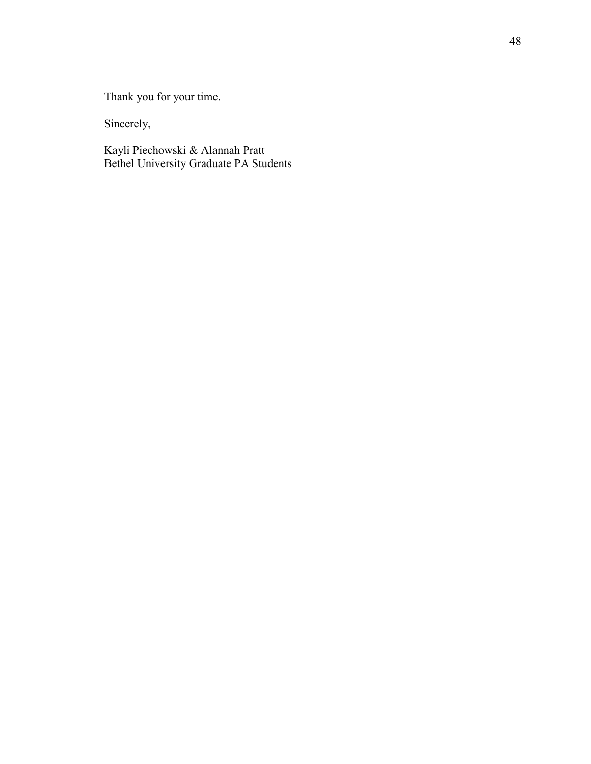Thank you for your time.

Sincerely,

Kayli Piechowski & Alannah Pratt Bethel University Graduate PA Students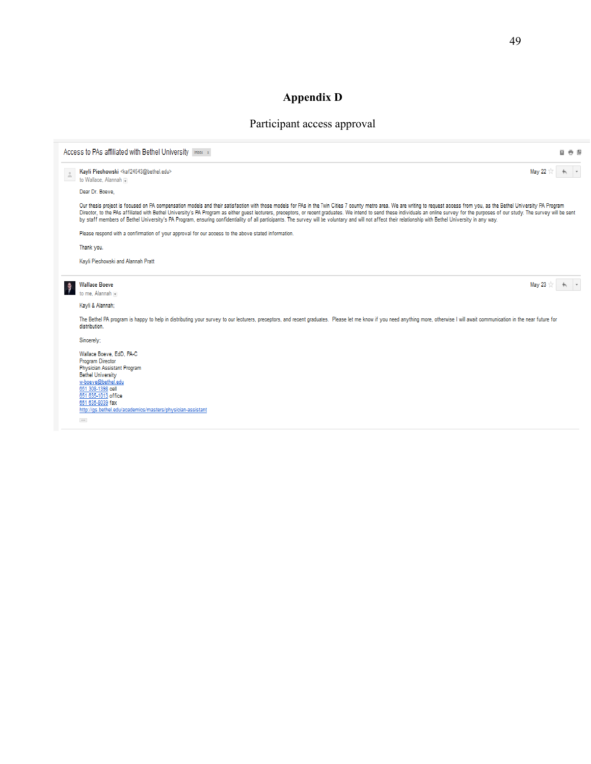# **Appendix D**

# Participant access approval

| Access to PAs affiliated with Bethel University Inbox x                                                                                                                                                                                                                                                                                                                                                                                                                                                                                                                                                                                                                      | 日市国        |
|------------------------------------------------------------------------------------------------------------------------------------------------------------------------------------------------------------------------------------------------------------------------------------------------------------------------------------------------------------------------------------------------------------------------------------------------------------------------------------------------------------------------------------------------------------------------------------------------------------------------------------------------------------------------------|------------|
| Kayli Piechowski <kaf24543@bethel.edu><br/>to Wallace, Alannah</kaf24543@bethel.edu>                                                                                                                                                                                                                                                                                                                                                                                                                                                                                                                                                                                         | May 22     |
| Dear Dr. Boeve.                                                                                                                                                                                                                                                                                                                                                                                                                                                                                                                                                                                                                                                              |            |
| Our thesis project is focused on PA compensation models and their satisfaction with those models for PAs in the Twin Cities 7 county metro area. We are writing to request access from you, as the Bethel University PA Progra<br>Director, to the PAs affiliated with Bethel University's PA Program as either quest lecturers, preceptors, or recent graduates. We intend to send these individuals an online survey for the purposes of our study. The survey<br>by staff members of Bethel University's PA Program, ensuring confidentiality of all participants. The survey will be voluntary and will not affect their relationship with Bethel University in any way. |            |
| Please respond with a confirmation of your approval for our access to the above stated information.                                                                                                                                                                                                                                                                                                                                                                                                                                                                                                                                                                          |            |
| Thank you.                                                                                                                                                                                                                                                                                                                                                                                                                                                                                                                                                                                                                                                                   |            |
| Kayli Piechowski and Alannah Pratt                                                                                                                                                                                                                                                                                                                                                                                                                                                                                                                                                                                                                                           |            |
| <b>Wallace Boeve</b><br>Ĵ<br>to me, Alannah [4]                                                                                                                                                                                                                                                                                                                                                                                                                                                                                                                                                                                                                              | May 23 $+$ |
| Kayli & Alannah:                                                                                                                                                                                                                                                                                                                                                                                                                                                                                                                                                                                                                                                             |            |
| The Bethel PA program is happy to help in distributing your survey to our lecturers, preceptors, and recent graduates. Please let me know if you need anything more, otherwise I will await communication in the near future f<br>distribution.                                                                                                                                                                                                                                                                                                                                                                                                                              |            |
| Sincerely;                                                                                                                                                                                                                                                                                                                                                                                                                                                                                                                                                                                                                                                                   |            |
| Wallace Boeve, EdD, PA-C<br><b>Program Director</b><br>Physician Assistant Program<br><b>Bethel University</b><br>w-boeve@bethel.edu<br>651 308-1398 cell<br>651 635-1013 office<br>651 635-8039 fax<br>http://gs.bethel.edu/academics/masters/physician-assistant<br>$\cdots$                                                                                                                                                                                                                                                                                                                                                                                               |            |
|                                                                                                                                                                                                                                                                                                                                                                                                                                                                                                                                                                                                                                                                              |            |